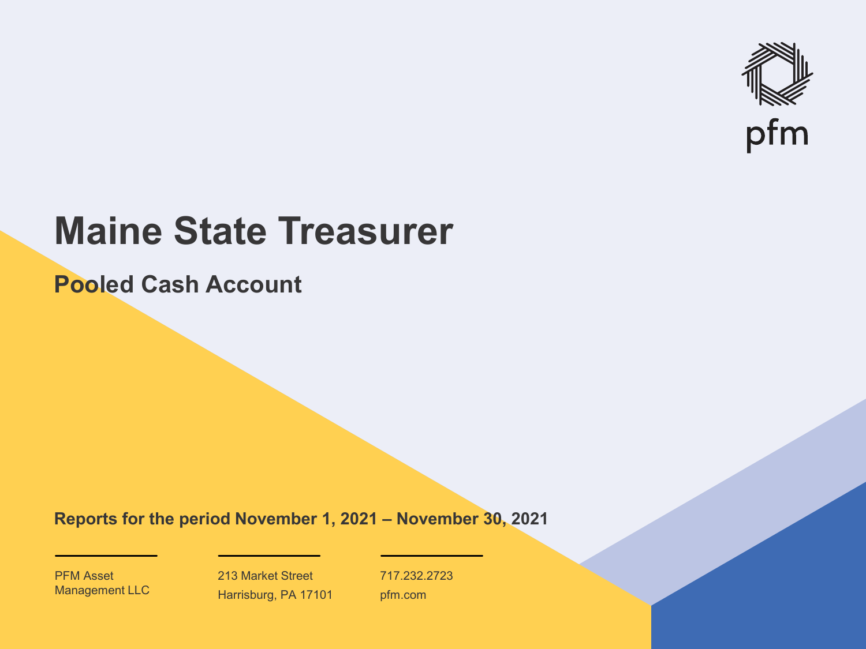

# **Maine State Treasurer**

**Pooled Cash Account**

**Reports for the period November 1, 2021 – November 30, 2021**

PFM Asset Management LLC

213 Market Street Harrisburg, PA 17101 717.232.2723 pfm.com

 $\mathcal{P}_\text{max}$  and  $\mathcal{P}_\text{max}$  is the probability of  $\mathcal{P}_\text{max}$  and  $\mathcal{P}_\text{max}$  and  $\mathcal{P}_\text{max}$  and  $\mathcal{P}_\text{max}$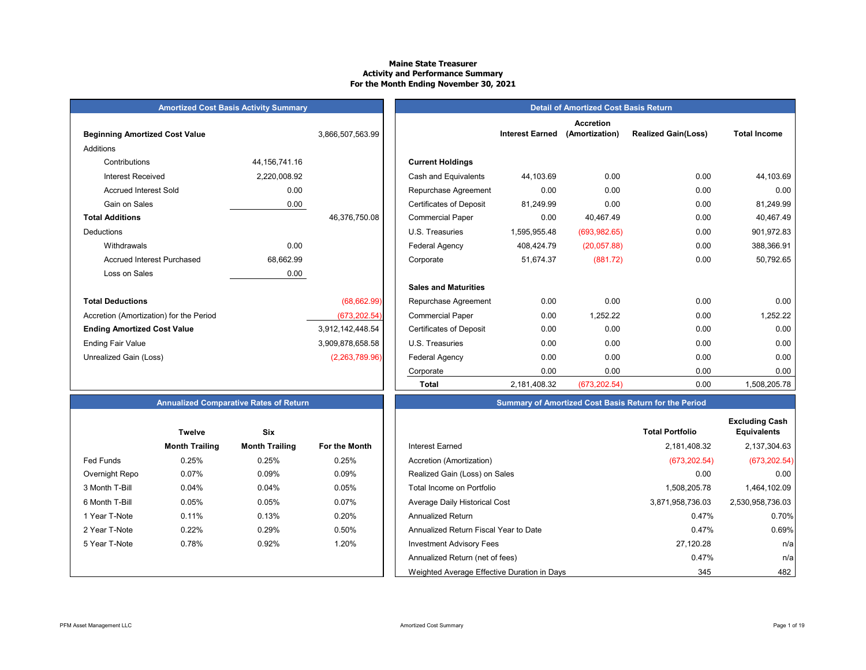#### **Maine State Treasurer Activity and Performance Summary For the Month Ending November 30, 2021**

#### **Amortized Cost Basis Activity Summary**

| <b>Beginning Amortized Cost Value</b>   |                  | 3,866,507,563.99 | <b>Interest Earned</b>                      |
|-----------------------------------------|------------------|------------------|---------------------------------------------|
| Additions                               |                  |                  |                                             |
| Contributions                           | 44, 156, 741. 16 |                  | <b>Current Holdings</b>                     |
| Interest Received                       | 2,220,008.92     |                  | Cash and Equivalents<br>44,103.69           |
| <b>Accrued Interest Sold</b>            | 0.00             |                  | 0.00<br>Repurchase Agreement                |
| Gain on Sales                           | 0.00             |                  | <b>Certificates of Deposit</b><br>81,249.99 |
| <b>Total Additions</b>                  |                  | 46,376,750.08    | 0.00<br><b>Commercial Paper</b>             |
| <b>Deductions</b>                       |                  |                  | U.S. Treasuries<br>1,595,955.48             |
| Withdrawals                             | 0.00             |                  | Federal Agency<br>408,424.79                |
| <b>Accrued Interest Purchased</b>       | 68,662.99        |                  | 51,674.37<br>Corporate                      |
| Loss on Sales                           | 0.00             |                  |                                             |
|                                         |                  |                  | <b>Sales and Maturities</b>                 |
| <b>Total Deductions</b>                 |                  | (68, 662.99)     | 0.00<br>Repurchase Agreement                |
| Accretion (Amortization) for the Period |                  | (673,202.54)     | <b>Commercial Paper</b><br>0.00             |
| <b>Ending Amortized Cost Value</b>      |                  | 3,912,142,448.54 | <b>Certificates of Deposit</b><br>0.00      |
| <b>Ending Fair Value</b>                |                  | 3,909,878,658.58 | U.S. Treasuries<br>0.00                     |
| Unrealized Gain (Loss)                  |                  | (2,263,789.96)   | 0.00<br>Federal Agency                      |
|                                         |                  |                  |                                             |

|                                         | <b>Amortized Cost Basis Activity Summary</b> |                  | <b>Detail of Amortized Cost Basis Return</b> |                        |                                    |                            |                     |  |  |  |  |
|-----------------------------------------|----------------------------------------------|------------------|----------------------------------------------|------------------------|------------------------------------|----------------------------|---------------------|--|--|--|--|
| <b>Beginning Amortized Cost Value</b>   |                                              | 3,866,507,563.99 |                                              | <b>Interest Earned</b> | <b>Accretion</b><br>(Amortization) | <b>Realized Gain(Loss)</b> | <b>Total Income</b> |  |  |  |  |
| <b>Additions</b>                        |                                              |                  |                                              |                        |                                    |                            |                     |  |  |  |  |
| Contributions                           | 44, 156, 741. 16                             |                  | <b>Current Holdings</b>                      |                        |                                    |                            |                     |  |  |  |  |
| <b>Interest Received</b>                | 2,220,008.92                                 |                  | Cash and Equivalents                         | 44,103.69              | 0.00                               | 0.00                       | 44,103.69           |  |  |  |  |
| <b>Accrued Interest Sold</b>            | 0.00                                         |                  | Repurchase Agreement                         | 0.00                   | 0.00                               | 0.00                       | 0.00                |  |  |  |  |
| Gain on Sales                           | 0.00                                         |                  | <b>Certificates of Deposit</b>               | 81,249.99              | 0.00                               | 0.00                       | 81,249.99           |  |  |  |  |
| <b>Total Additions</b>                  |                                              | 46,376,750.08    | <b>Commercial Paper</b>                      | 0.00                   | 40,467.49                          | 0.00                       | 40,467.49           |  |  |  |  |
| <b>Deductions</b>                       |                                              |                  | U.S. Treasuries                              | 1,595,955.48           | (693, 982.65)                      | 0.00                       | 901,972.83          |  |  |  |  |
| Withdrawals                             | 0.00                                         |                  | Federal Agency                               | 408,424.79             | (20,057.88)                        | 0.00                       | 388,366.91          |  |  |  |  |
| <b>Accrued Interest Purchased</b>       | 68,662.99                                    |                  | Corporate                                    | 51,674.37              | (881.72)                           | 0.00                       | 50,792.65           |  |  |  |  |
| Loss on Sales                           | 0.00                                         |                  |                                              |                        |                                    |                            |                     |  |  |  |  |
|                                         |                                              |                  | <b>Sales and Maturities</b>                  |                        |                                    |                            |                     |  |  |  |  |
| <b>Total Deductions</b>                 |                                              | (68, 662.99)     | Repurchase Agreement                         | 0.00                   | 0.00                               | 0.00                       | 0.00                |  |  |  |  |
| Accretion (Amortization) for the Period |                                              | (673, 202.54)    | <b>Commercial Paper</b>                      | 0.00                   | 1,252.22                           | 0.00                       | 1,252.22            |  |  |  |  |
| <b>Ending Amortized Cost Value</b>      |                                              | 3,912,142,448.54 | <b>Certificates of Deposit</b>               | 0.00                   | 0.00                               | 0.00                       | 0.00                |  |  |  |  |
| Ending Fair Value                       |                                              | 3,909,878,658.58 | U.S. Treasuries                              | 0.00                   | 0.00                               | 0.00                       | 0.00                |  |  |  |  |
| Unrealized Gain (Loss)                  |                                              | (2,263,789.96)   | Federal Agency                               | 0.00                   | 0.00                               | 0.00                       | 0.00                |  |  |  |  |
|                                         |                                              |                  | Corporate                                    | 0.00                   | 0.00                               | 0.00                       | 0.00                |  |  |  |  |
|                                         |                                              |                  | <b>Total</b>                                 | 2,181,408.32           | (673, 202.54)                      | 0.00                       | 1,508,205.78        |  |  |  |  |

#### **Annualized Comparative Rates of Return Summary of Amortized Cost Basis Return for the Period**

|                  | <b>Twelve</b>         | <b>Six</b>            |                      |
|------------------|-----------------------|-----------------------|----------------------|
|                  | <b>Month Trailing</b> | <b>Month Trailing</b> | <b>For the Month</b> |
| <b>Fed Funds</b> | 0.25%                 | 0.25%                 | 0.25%                |
| Overnight Repo   | 0.07%                 | 0.09%                 | 0.09%                |
| 3 Month T-Bill   | 0.04%                 | 0.04%                 | 0.05%                |
| 6 Month T-Bill   | 0.05%                 | 0.05%                 | 0.07%                |
| 1 Year T-Note    | 0.11%                 | 0.13%                 | 0.20%                |
| 2 Year T-Note    | 0.22%                 | 0.29%                 | $0.50\%$             |
| 5 Year T-Note    | 0.78%                 | 0.92%                 | 1.20%                |
|                  |                       |                       |                      |
|                  |                       |                       |                      |

|                  | <b>Twelve</b>         | <b>Six</b>            |               |                                             | <b>Total Portfolio</b> |
|------------------|-----------------------|-----------------------|---------------|---------------------------------------------|------------------------|
|                  | <b>Month Trailing</b> | <b>Month Trailing</b> | For the Month | <b>Interest Earned</b>                      | 2,181,408.32           |
| <b>Fed Funds</b> | 0.25%                 | 0.25%                 | 0.25%         | Accretion (Amortization)                    | (673, 202.54)          |
| Overnight Repo   | 0.07%                 | 0.09%                 | 0.09%         | Realized Gain (Loss) on Sales               | 0.00                   |
| 3 Month T-Bill   | 0.04%                 | 0.04%                 | 0.05%         | Total Income on Portfolio                   | 1,508,205.78           |
| 6 Month T-Bill   | 0.05%                 | 0.05%                 | 0.07%         | Average Daily Historical Cost               | 3,871,958,736.03       |
| 1 Year T-Note    | 0.11%                 | 0.13%                 | 0.20%         | <b>Annualized Return</b>                    | 0.47%                  |
| 2 Year T-Note    | 0.22%                 | 0.29%                 | 0.50%         | Annualized Return Fiscal Year to Date       | 0.47%                  |
| 5 Year T-Note    | 0.78%                 | 0.92%                 | 1.20%         | <b>Investment Advisory Fees</b>             | 27,120.28              |
|                  |                       |                       |               | Annualized Return (net of fees)             | 0.47%                  |
|                  |                       |                       |               | Weighted Average Effective Duration in Days | 345                    |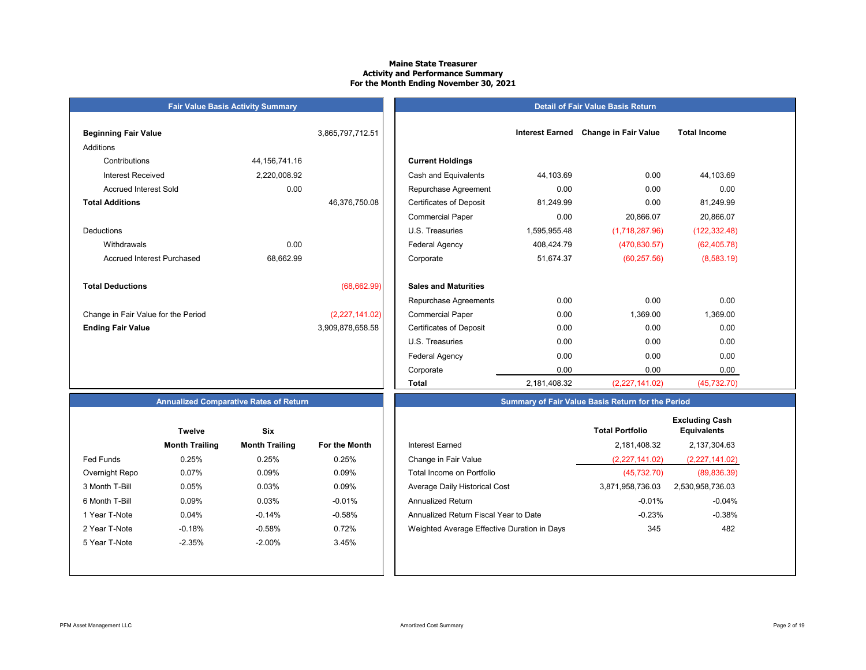#### **Maine State Treasurer Activity and Performance Summary For the Month Ending November 30, 2021**

|                                     | <b>Fair Value Basis Activity Summary</b> |                  |                                |                        |                             |                     |
|-------------------------------------|------------------------------------------|------------------|--------------------------------|------------------------|-----------------------------|---------------------|
| <b>Beginning Fair Value</b>         |                                          | 3,865,797,712.51 |                                | <b>Interest Earned</b> | <b>Change in Fair Value</b> | <b>Total Income</b> |
| Additions                           |                                          |                  |                                |                        |                             |                     |
| Contributions                       | 44, 156, 741. 16                         |                  | <b>Current Holdings</b>        |                        |                             |                     |
| <b>Interest Received</b>            | 2,220,008.92                             |                  | Cash and Equivalents           | 44,103.69              | 0.00                        | 44,103.69           |
| <b>Accrued Interest Sold</b>        | 0.00                                     |                  | Repurchase Agreement           | 0.00                   | 0.00                        | 0.00                |
| <b>Total Additions</b>              |                                          | 46,376,750.08    | <b>Certificates of Deposit</b> | 81,249.99              | 0.00                        | 81,249.99           |
|                                     |                                          |                  | <b>Commercial Paper</b>        | 0.00                   | 20,866.07                   | 20,866.07           |
| <b>Deductions</b>                   |                                          |                  | U.S. Treasuries                | 1,595,955.48           | (1,718,287.96)              | (122, 332.48)       |
| Withdrawals                         | 0.00                                     |                  | <b>Federal Agency</b>          | 408,424.79             | (470, 830.57)               | (62, 405.78)        |
| <b>Accrued Interest Purchased</b>   | 68,662.99                                |                  | Corporate                      | 51,674.37              | (60, 257.56)                | (8, 583.19)         |
| <b>Total Deductions</b>             |                                          | (68, 662.99)     | <b>Sales and Maturities</b>    |                        |                             |                     |
|                                     |                                          |                  | Repurchase Agreements          | 0.00                   | 0.00                        | 0.00                |
| Change in Fair Value for the Period |                                          | (2,227,141.02)   | <b>Commercial Paper</b>        | 0.00                   | 1,369.00                    | 1,369.00            |
| <b>Ending Fair Value</b>            |                                          | 3,909,878,658.58 | <b>Certificates of Deposit</b> | 0.00                   | 0.00                        | 0.00                |
|                                     |                                          |                  | U.S. Treasuries                | 0.00                   | 0.00                        | 0.00                |

#### **Detail of Fair Value Basis Return**

| ning Fair Value                   |                  | 3,865,797,712.51 |                                | <b>Interest Earned</b> | <b>Change in Fair Value</b> | <b>Total Income</b> |
|-----------------------------------|------------------|------------------|--------------------------------|------------------------|-----------------------------|---------------------|
| ons                               |                  |                  |                                |                        |                             |                     |
| Contributions                     | 44, 156, 741. 16 |                  | <b>Current Holdings</b>        |                        |                             |                     |
| <b>Interest Received</b>          | 2,220,008.92     |                  | Cash and Equivalents           | 44,103.69              | 0.00                        | 44,103.69           |
| <b>Accrued Interest Sold</b>      | 0.00             |                  | Repurchase Agreement           | 0.00                   | 0.00                        | 0.00                |
| <b>Additions</b>                  |                  | 46,376,750.08    | <b>Certificates of Deposit</b> | 81,249.99              | 0.00                        | 81,249.99           |
|                                   |                  |                  | <b>Commercial Paper</b>        | 0.00                   | 20,866.07                   | 20,866.07           |
| ctions                            |                  |                  | U.S. Treasuries                | 1,595,955.48           | (1,718,287.96)              | (122, 332.48)       |
| Withdrawals                       | 0.00             |                  | Federal Agency                 | 408,424.79             | (470, 830.57)               | (62, 405.78)        |
| <b>Accrued Interest Purchased</b> | 68,662.99        |                  | Corporate                      | 51,674.37              | (60, 257.56)                | (8,583.19)          |
| <b>Deductions</b>                 |                  | (68, 662.99)     | <b>Sales and Maturities</b>    |                        |                             |                     |
|                                   |                  |                  | Repurchase Agreements          | 0.00                   | 0.00                        | 0.00                |
| ge in Fair Value for the Period   |                  | (2,227,141.02)   | <b>Commercial Paper</b>        | 0.00                   | 1,369.00                    | 1,369.00            |
| <b>g Fair Value</b>               |                  | 3,909,878,658.58 | <b>Certificates of Deposit</b> | 0.00                   | 0.00                        | 0.00                |
|                                   |                  |                  | U.S. Treasuries                | 0.00                   | 0.00                        | 0.00                |
|                                   |                  |                  | Federal Agency                 | 0.00                   | 0.00                        | 0.00                |
|                                   |                  |                  | Corporate                      | 0.00                   | 0.00                        | 0.00                |
|                                   |                  |                  | <b>Total</b>                   | 2,181,408.32           | (2,227,141.02)              | (45, 732.70)        |

#### **Annualized Comparative Rates of Return**

| <b>Month Trailing</b><br>0.25%<br>0.07% | <b>Month Trailing</b><br>0.25% | <b>For the Month</b><br>0.25% |
|-----------------------------------------|--------------------------------|-------------------------------|
|                                         |                                |                               |
|                                         |                                |                               |
|                                         | 0.09%                          | 0.09%                         |
| 0.05%                                   | 0.03%                          | 0.09%                         |
| 0.09%                                   | 0.03%                          | $-0.01%$                      |
| 0.04%                                   | $-0.14%$                       | $-0.58%$                      |
| $-0.18%$                                | $-0.58%$                       | 0.72%                         |
| $-2.35%$                                | $-2.00\%$                      | 3.45%                         |
|                                         |                                |                               |
|                                         |                                |                               |

| <b>Month Trailing</b><br>0.25%<br>0.07% | <b>Month Trailing</b><br>0.25%<br>0.09% | For the Month<br>0.25%<br>0.09% | Interest Earned<br>Change in Fair Value<br>Total Income on Portfolio | 2,181,408.32<br>(2,227,141.02)<br>(45, 732.70) | 2,137,304.63<br>(2,227,141.02) |
|-----------------------------------------|-----------------------------------------|---------------------------------|----------------------------------------------------------------------|------------------------------------------------|--------------------------------|
|                                         |                                         |                                 |                                                                      |                                                |                                |
|                                         |                                         |                                 |                                                                      |                                                |                                |
|                                         |                                         |                                 |                                                                      |                                                | (89, 836.39)                   |
| 0.05%                                   | 0.03%                                   | 0.09%                           | Average Daily Historical Cost                                        | 3,871,958,736.03                               | 2,530,958,736.03               |
| 0.09%                                   | 0.03%                                   | $-0.01%$                        | <b>Annualized Return</b>                                             | $-0.01%$                                       | $-0.04\%$                      |
| 0.04%                                   | $-0.14%$                                | $-0.58%$                        | Annualized Return Fiscal Year to Date                                | $-0.23%$                                       | $-0.38%$                       |
| $-0.18%$                                | $-0.58%$                                | 0.72%                           | Weighted Average Effective Duration in Days                          | 345                                            | 482                            |
| $-2.35%$                                | $-2.00%$                                | 3.45%                           |                                                                      |                                                |                                |
|                                         |                                         |                                 |                                                                      |                                                |                                |

**Summary of Fair Value Basis Return for the Period**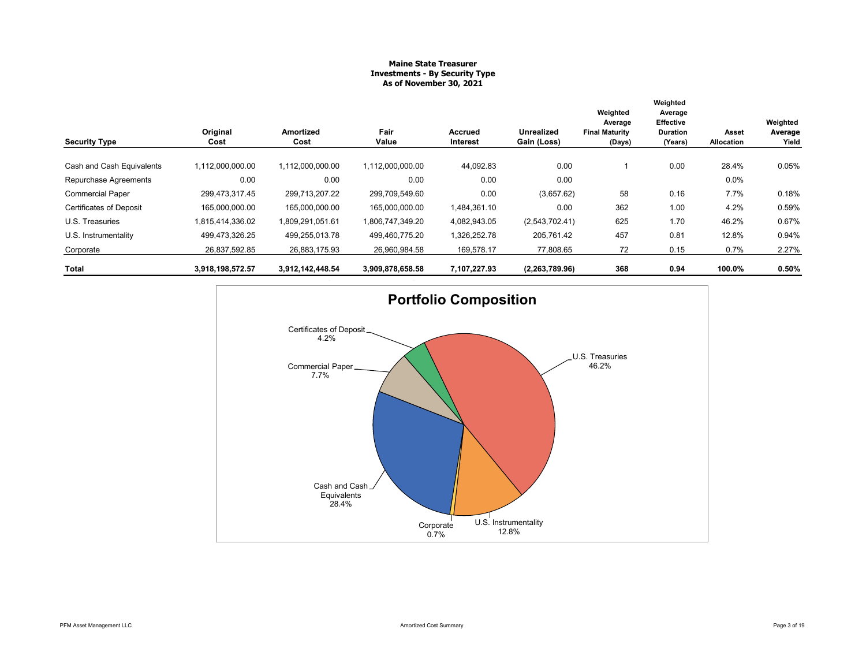#### **Maine State Treasurer Investments - By Security Type As of November 30, 2021**

| <b>Security Type</b>           | Original<br>Cost | Amortized<br>Cost | Fair<br>Value    | <b>Accrued</b><br><b>Interest</b> | <b>Unrealized</b><br>Gain (Loss) | Weighted<br>Average<br><b>Final Maturity</b><br>(Days) | Weighted<br>Average<br><b>Effective</b><br><b>Duration</b><br>(Years) | Asset<br><b>Allocation</b> | Weighted<br>Average<br>Yield |
|--------------------------------|------------------|-------------------|------------------|-----------------------------------|----------------------------------|--------------------------------------------------------|-----------------------------------------------------------------------|----------------------------|------------------------------|
| Cash and Cash Equivalents      | 1,112,000,000.00 | 1,112,000,000.00  | 1,112,000,000.00 | 44,092.83                         | 0.00                             |                                                        | 0.00                                                                  | 28.4%                      | 0.05%                        |
| Repurchase Agreements          | 0.00             | 0.00              | 0.00             | 0.00                              | 0.00                             |                                                        |                                                                       | 0.0%                       |                              |
| <b>Commercial Paper</b>        | 299,473,317.45   | 299,713,207.22    | 299,709,549.60   | 0.00                              | (3,657.62)                       | 58                                                     | 0.16                                                                  | 7.7%                       | 0.18%                        |
| <b>Certificates of Deposit</b> | 165,000,000.00   | 165,000,000.00    | 165,000,000.00   | 1,484,361.10                      | 0.00                             | 362                                                    | 1.00                                                                  | 4.2%                       | 0.59%                        |
| U.S. Treasuries                | 1,815,414,336.02 | 1,809,291,051.61  | 1,806,747,349.20 | 4,082,943.05                      | (2,543,702.41)                   | 625                                                    | 1.70                                                                  | 46.2%                      | 0.67%                        |
| U.S. Instrumentality           | 499,473,326.25   | 499,255,013.78    | 499,460,775.20   | 1,326,252.78                      | 205,761.42                       | 457                                                    | 0.81                                                                  | 12.8%                      | 0.94%                        |
| Corporate                      | 26,837,592.85    | 26,883,175.93     | 26,960,984.58    | 169,578.17                        | 77,808.65                        | 72                                                     | 0.15                                                                  | 0.7%                       | 2.27%                        |
| <b>Total</b>                   | 3,918,198,572.57 | 3,912,142,448.54  | 3,909,878,658.58 | 7,107,227.93                      | (2, 263, 789.96)                 | 368                                                    | 0.94                                                                  | 100.0%                     | 0.50%                        |

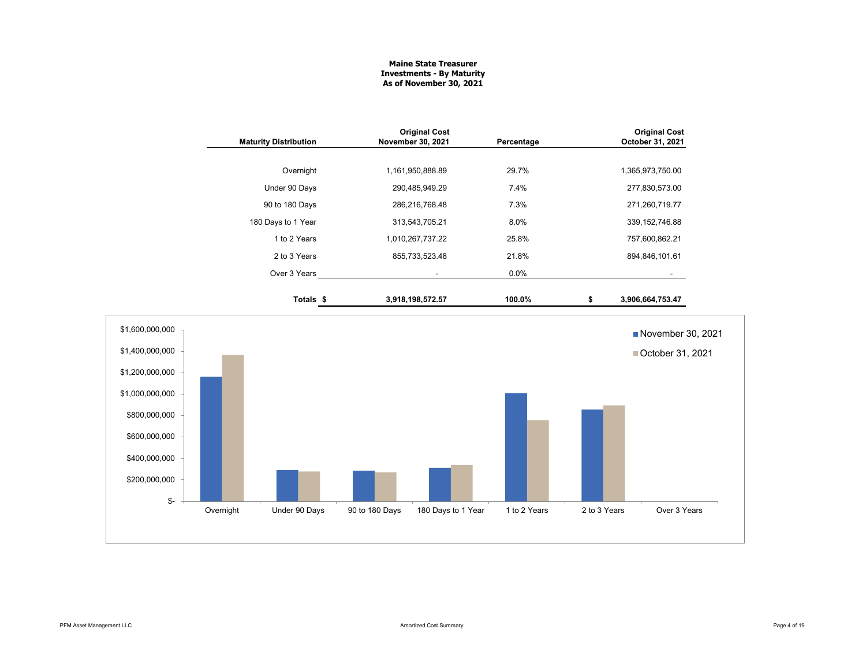#### **Maine State Treasurer Investments - By Maturity As of November 30, 2021**

|                 |           | <b>Maturity Distribution</b> | November 30, 2021 | <b>Original Cost</b> | Percentage   |              | <b>Original Cost</b><br>October 31, 2021 |
|-----------------|-----------|------------------------------|-------------------|----------------------|--------------|--------------|------------------------------------------|
|                 |           |                              |                   |                      |              |              |                                          |
|                 |           | Overnight                    | 1,161,950,888.89  |                      | 29.7%        |              | 1,365,973,750.00                         |
|                 |           | Under 90 Days                |                   | 290,485,949.29       | 7.4%         |              | 277,830,573.00                           |
|                 |           | 90 to 180 Days               |                   | 286,216,768.48       | 7.3%         |              | 271,260,719.77                           |
|                 |           | 180 Days to 1 Year           |                   | 313,543,705.21       | 8.0%         |              | 339, 152, 746.88                         |
|                 |           | 1 to 2 Years                 | 1,010,267,737.22  |                      | 25.8%        |              | 757,600,862.21                           |
|                 |           | 2 to 3 Years                 |                   | 855,733,523.48       | 21.8%        |              | 894,846,101.61                           |
|                 |           | Over 3 Years                 |                   | $\blacksquare$       | 0.0%         |              |                                          |
|                 |           | Totals <sub>\$</sub>         | 3,918,198,572.57  |                      | 100.0%       | \$           | 3,906,664,753.47                         |
| \$1,600,000,000 |           |                              |                   |                      |              |              | November 30, 2021                        |
| \$1,400,000,000 |           |                              |                   |                      |              |              | ■ October 31, 2021                       |
| \$1,200,000,000 |           |                              |                   |                      |              |              |                                          |
| \$1,000,000,000 |           |                              |                   |                      |              |              |                                          |
| \$800,000,000   |           |                              |                   |                      |              |              |                                          |
| \$600,000,000   |           |                              |                   |                      |              |              |                                          |
| \$400,000,000   |           |                              |                   |                      |              |              |                                          |
| \$200,000,000   |           |                              |                   |                      |              |              |                                          |
| \$-             |           |                              |                   |                      |              | 2 to 3 Years | Over 3 Years                             |
|                 | Overnight | Under 90 Days                | 90 to 180 Days    | 180 Days to 1 Year   | 1 to 2 Years |              |                                          |
|                 |           |                              |                   |                      |              |              |                                          |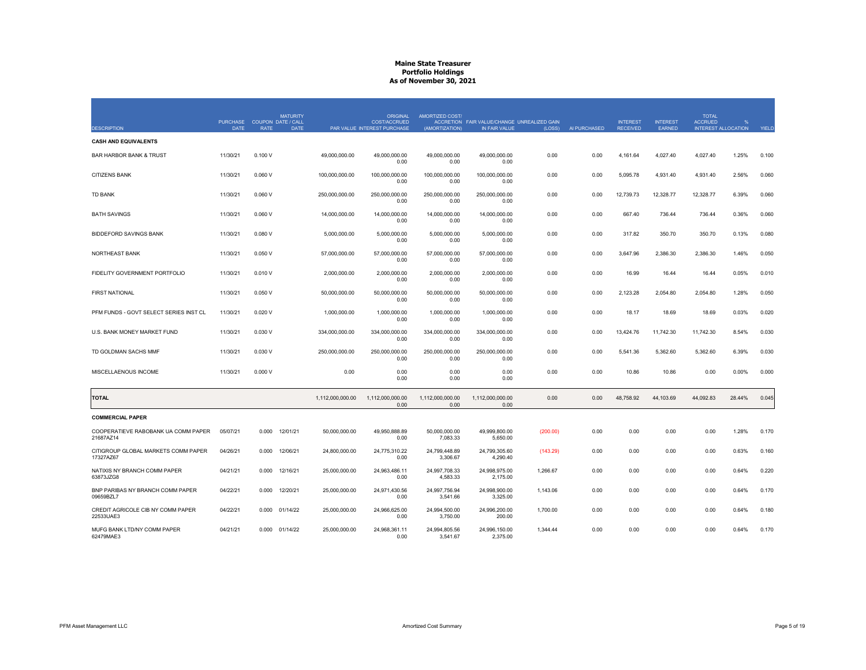|                                                  | <b>PURCHASE</b> | COUPON DATE / CALL | <b>MATURITY</b>  | ORIGINAL<br>COST/ACCRUED    | AMORTIZED COST/           | ACCRETION FAIR VALUE/CHANGE UNREALIZED GAIN |          |              | <b>INTEREST</b> | <b>INTEREST</b> | <b>TOTAL</b><br><b>ACCRUED</b> |                            |              |
|--------------------------------------------------|-----------------|--------------------|------------------|-----------------------------|---------------------------|---------------------------------------------|----------|--------------|-----------------|-----------------|--------------------------------|----------------------------|--------------|
| <b>DESCRIPTION</b>                               | <b>DATE</b>     | <b>RATE</b>        | <b>DATE</b>      | PAR VALUE INTEREST PURCHASE | (AMORTIZATION)            | IN FAIR VALUE                               | (LOSS)   | AI PURCHASED | <b>RECEIVED</b> | <b>EARNED</b>   |                                | <b>INTEREST ALLOCATION</b> | <b>YIELD</b> |
| <b>CASH AND EQUIVALENTS</b>                      |                 |                    |                  |                             |                           |                                             |          |              |                 |                 |                                |                            |              |
| <b>BAR HARBOR BANK &amp; TRUST</b>               | 11/30/21        | 0.100V             | 49,000,000.00    | 49,000,000.00<br>0.00       | 49,000,000.00<br>0.00     | 49,000,000.00<br>0.00                       | 0.00     | 0.00         | 4,161.64        | 4,027.40        | 4,027.40                       | 1.25%                      | 0.100        |
| <b>CITIZENS BANK</b>                             | 11/30/21        | 0.060V             | 100,000,000.00   | 100,000,000.00<br>0.00      | 100,000,000.00<br>0.00    | 100,000,000.00<br>0.00                      | 0.00     | 0.00         | 5,095.78        | 4,931.40        | 4,931.40                       | 2.56%                      | 0.060        |
| <b>TD BANK</b>                                   | 11/30/21        | 0.060V             | 250,000,000.00   | 250,000,000.00<br>0.00      | 250,000,000.00<br>0.00    | 250,000,000.00<br>0.00                      | 0.00     | 0.00         | 12,739.73       | 12,328.77       | 12,328.77                      | 6.39%                      | 0.060        |
| <b>BATH SAVINGS</b>                              | 11/30/21        | 0.060V             | 14,000,000.00    | 14,000,000.00<br>0.00       | 14,000,000.00<br>0.00     | 14,000,000.00<br>0.00                       | 0.00     | 0.00         | 667.40          | 736.44          | 736.44                         | 0.36%                      | 0.060        |
| <b>BIDDEFORD SAVINGS BANK</b>                    | 11/30/21        | 0.080V             | 5,000,000.00     | 5,000,000.00<br>0.00        | 5,000,000.00<br>0.00      | 5,000,000.00<br>0.00                        | 0.00     | 0.00         | 317.82          | 350.70          | 350.70                         | 0.13%                      | 0.080        |
| <b>NORTHEAST BANK</b>                            | 11/30/21        | 0.050V             | 57,000,000.00    | 57,000,000.00<br>0.00       | 57,000,000.00<br>0.00     | 57,000,000.00<br>0.00                       | 0.00     | 0.00         | 3,647.96        | 2,386.30        | 2,386.30                       | 1.46%                      | 0.050        |
| FIDELITY GOVERNMENT PORTFOLIO                    | 11/30/21        | 0.010V             | 2,000,000.00     | 2,000,000.00<br>0.00        | 2,000,000.00<br>0.00      | 2,000,000.00<br>0.00                        | 0.00     | 0.00         | 16.99           | 16.44           | 16.44                          | 0.05%                      | 0.010        |
| <b>FIRST NATIONAL</b>                            | 11/30/21        | 0.050V             | 50,000,000.00    | 50,000,000.00<br>0.00       | 50,000,000.00<br>0.00     | 50,000,000.00<br>0.00                       | 0.00     | 0.00         | 2,123.28        | 2,054.80        | 2,054.80                       | 1.28%                      | 0.050        |
| PFM FUNDS - GOVT SELECT SERIES INST CL           | 11/30/21        | 0.020V             | 1,000,000.00     | 1,000,000.00<br>0.00        | 1,000,000.00<br>0.00      | 1,000,000.00<br>0.00                        | 0.00     | 0.00         | 18.17           | 18.69           | 18.69                          | 0.03%                      | 0.020        |
| U.S. BANK MONEY MARKET FUND                      | 11/30/21        | 0.030V             | 334,000,000.00   | 334,000,000.00<br>0.00      | 334,000,000.00<br>0.00    | 334,000,000.00<br>0.00                      | 0.00     | 0.00         | 13,424.76       | 11,742.30       | 11,742.30                      | 8.54%                      | 0.030        |
| TD GOLDMAN SACHS MMF                             | 11/30/21        | 0.030V             | 250,000,000.00   | 250,000,000.00<br>0.00      | 250,000,000.00<br>0.00    | 250,000,000.00<br>0.00                      | 0.00     | 0.00         | 5,541.36        | 5,362.60        | 5,362.60                       | 6.39%                      | 0.030        |
| MISCELLAENOUS INCOME                             | 11/30/21        | 0.000V             | 0.00             | 0.00<br>0.00                | 0.00<br>0.00              | 0.00<br>0.00                                | 0.00     | 0.00         | 10.86           | 10.86           | 0.00                           | 0.00%                      | 0.000        |
| <b>TOTAL</b>                                     |                 |                    | 1,112,000,000.00 | 1,112,000,000.00<br>0.00    | 1,112,000,000.00<br>0.00  | 1,112,000,000.00<br>0.00                    | 0.00     | 0.00         | 48,758.92       | 44,103.69       | 44,092.83                      | 28.44%                     | 0.045        |
| <b>COMMERCIAL PAPER</b>                          |                 |                    |                  |                             |                           |                                             |          |              |                 |                 |                                |                            |              |
| COOPERATIEVE RABOBANK UA COMM PAPER<br>21687AZ14 | 05/07/21        | 12/01/21<br>0.000  | 50,000,000.00    | 49,950,888.89<br>0.00       | 50,000,000.00<br>7,083.33 | 49,999,800.00<br>5,650.00                   | (200.00) | 0.00         | 0.00            | 0.00            | 0.00                           | 1.28%                      | 0.170        |
| CITIGROUP GLOBAL MARKETS COMM PAPER<br>17327AZ67 | 04/26/21        | 0.000<br>12/06/21  | 24,800,000.00    | 24,775,310.22<br>0.00       | 24,799,448.89<br>3,306.67 | 24,799,305.60<br>4,290.40                   | (143.29) | 0.00         | 0.00            | 0.00            | 0.00                           | 0.63%                      | 0.160        |
| NATIXIS NY BRANCH COMM PAPER<br>63873JZG8        | 04/21/21        | 12/16/21<br>0.000  | 25,000,000.00    | 24,963,486.11<br>0.00       | 24,997,708.33<br>4,583.33 | 24,998,975.00<br>2,175.00                   | 1,266.67 | 0.00         | 0.00            | 0.00            | 0.00                           | 0.64%                      | 0.220        |
| BNP PARIBAS NY BRANCH COMM PAPER<br>09659BZL7    | 04/22/21        | 0.000<br>12/20/21  | 25,000,000.00    | 24,971,430.56<br>0.00       | 24,997,756.94<br>3,541.66 | 24,998,900.00<br>3,325.00                   | 1,143.06 | 0.00         | 0.00            | 0.00            | 0.00                           | 0.64%                      | 0.170        |
| CREDIT AGRICOLE CIB NY COMM PAPER<br>22533UAE3   | 04/22/21        | 01/14/22<br>0.000  | 25,000,000.00    | 24,966,625.00<br>0.00       | 24,994,500.00<br>3,750.00 | 24,996,200.00<br>200.00                     | 1,700.00 | 0.00         | 0.00            | 0.00            | 0.00                           | 0.64%                      | 0.180        |
| MUFG BANK LTD/NY COMM PAPER<br>62479MAE3         | 04/21/21        | 01/14/22<br>0.000  | 25,000,000.00    | 24,968,361.11<br>0.00       | 24,994,805.56<br>3,541.67 | 24,996,150.00<br>2,375.00                   | 1,344.44 | 0.00         | 0.00            | 0.00            | 0.00                           | 0.64%                      | 0.170        |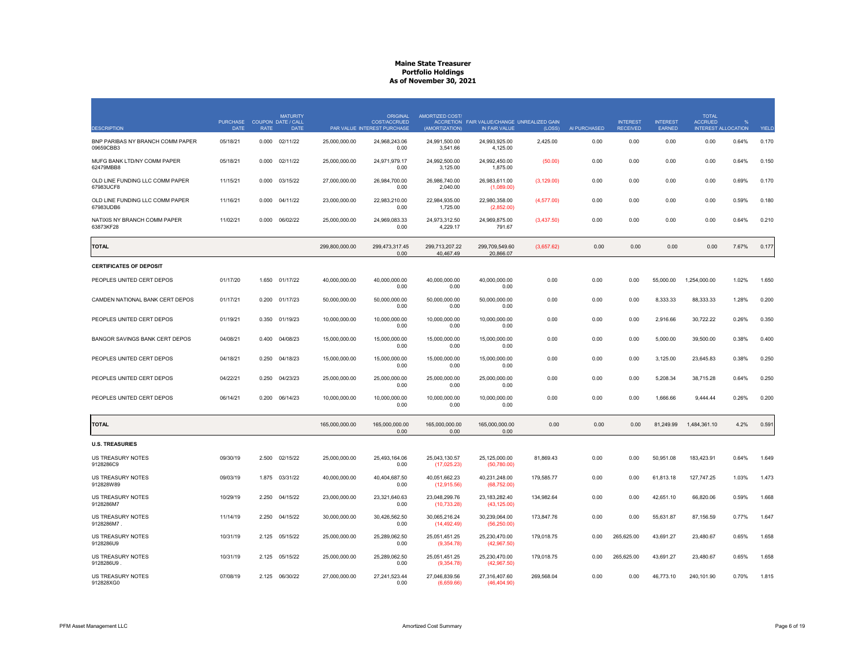|                                               | <b>PURCHASE</b> | <b>MATURITY</b><br>COUPON DATE / CALL |                | <b>ORIGINAL</b><br><b>COST/ACCRUED</b> | <b>AMORTIZED COST/</b>        | ACCRETION FAIR VALUE/CHANGE UNREALIZED GAIN |             |              | <b>INTEREST</b> | <b>INTEREST</b> | <b>TOTAL</b><br><b>ACCRUED</b> | $\frac{0}{6}$ |              |
|-----------------------------------------------|-----------------|---------------------------------------|----------------|----------------------------------------|-------------------------------|---------------------------------------------|-------------|--------------|-----------------|-----------------|--------------------------------|---------------|--------------|
| <b>DESCRIPTION</b>                            | <b>DATE</b>     | <b>RATE</b><br><b>DATE</b>            |                | PAR VALUE INTEREST PURCHASE            | (AMORTIZATION)                | IN FAIR VALUE                               | (LOSS)      | AI PURCHASED | <b>RECEIVED</b> | <b>EARNED</b>   | <b>INTEREST ALLOCATION</b>     |               | <b>YIELD</b> |
| BNP PARIBAS NY BRANCH COMM PAPER<br>09659CBB3 | 05/18/21        | 02/11/22<br>0.000                     | 25,000,000.00  | 24,968,243.06<br>0.00                  | 24,991,500.00<br>3,541.66     | 24,993,925.00<br>4,125.00                   | 2,425.00    | 0.00         | 0.00            | 0.00            | 0.00                           | 0.64%         | 0.170        |
| MUFG BANK LTD/NY COMM PAPER<br>62479MBB8      | 05/18/21        | 0.000<br>02/11/22                     | 25,000,000.00  | 24,971,979.17<br>0.00                  | 24,992,500.00<br>3,125.00     | 24,992,450.00<br>1,875.00                   | (50.00)     | 0.00         | 0.00            | 0.00            | 0.00                           | 0.64%         | 0.150        |
| OLD LINE FUNDING LLC COMM PAPER<br>67983UCF8  | 11/15/21        | 0.000<br>03/15/22                     | 27,000,000.00  | 26,984,700.00<br>0.00                  | 26,986,740.00<br>2,040.00     | 26,983,611.00<br>(1,089.00)                 | (3, 129.00) | 0.00         | 0.00            | 0.00            | 0.00                           | 0.69%         | 0.170        |
| OLD LINE FUNDING LLC COMM PAPER<br>67983UDB6  | 11/16/21        | 0.000<br>04/11/22                     | 23,000,000.00  | 22,983,210.00<br>0.00                  | 22,984,935.00<br>1,725.00     | 22,980,358.00<br>(2,852.00)                 | (4,577.00)  | 0.00         | 0.00            | 0.00            | 0.00                           | 0.59%         | 0.180        |
| NATIXIS NY BRANCH COMM PAPER<br>63873KF28     | 11/02/21        | 06/02/22<br>0.000                     | 25,000,000.00  | 24,969,083.33<br>0.00                  | 24,973,312.50<br>4,229.17     | 24,969,875.00<br>791.67                     | (3,437.50)  | 0.00         | 0.00            | 0.00            | 0.00                           | 0.64%         | 0.210        |
| <b>TOTAL</b>                                  |                 |                                       | 299,800,000.00 | 299,473,317.45<br>0.00                 | 299,713,207.22<br>40,467.49   | 299,709,549.60<br>20,866.07                 | (3,657.62)  | 0.00         | 0.00            | 0.00            | 0.00                           | 7.67%         | 0.177        |
| <b>CERTIFICATES OF DEPOSIT</b>                |                 |                                       |                |                                        |                               |                                             |             |              |                 |                 |                                |               |              |
| PEOPLES UNITED CERT DEPOS                     | 01/17/20        | 1.650<br>01/17/22                     | 40,000,000.00  | 40,000,000.00<br>0.00                  | 40,000,000.00<br>0.00         | 40,000,000.00<br>0.00                       | 0.00        | 0.00         | 0.00            | 55,000.00       | 1,254,000.00                   | 1.02%         | 1.650        |
| CAMDEN NATIONAL BANK CERT DEPOS               | 01/17/21        | 0.200<br>01/17/23                     | 50,000,000.00  | 50,000,000.00<br>0.00                  | 50,000,000.00<br>0.00         | 50,000,000.00<br>0.00                       | 0.00        | 0.00         | 0.00            | 8,333.33        | 88,333.33                      | 1.28%         | 0.200        |
| PEOPLES UNITED CERT DEPOS                     | 01/19/21        | 0.350<br>01/19/23                     | 10,000,000.00  | 10,000,000.00<br>0.00                  | 10,000,000.00<br>0.00         | 10,000,000.00<br>0.00                       | 0.00        | 0.00         | 0.00            | 2,916.66        | 30,722.22                      | 0.26%         | 0.350        |
| <b>BANGOR SAVINGS BANK CERT DEPOS</b>         | 04/08/21        | 04/08/23<br>0.400                     | 15,000,000.00  | 15,000,000.00<br>0.00                  | 15,000,000.00<br>0.00         | 15,000,000.00<br>0.00                       | 0.00        | 0.00         | 0.00            | 5,000.00        | 39,500.00                      | 0.38%         | 0.400        |
| PEOPLES UNITED CERT DEPOS                     | 04/18/21        | 04/18/23<br>0.250                     | 15,000,000.00  | 15,000,000.00<br>0.00                  | 15,000,000.00<br>0.00         | 15,000,000.00<br>0.00                       | 0.00        | 0.00         | 0.00            | 3,125.00        | 23,645.83                      | 0.38%         | 0.250        |
| PEOPLES UNITED CERT DEPOS                     | 04/22/21        | 0.250<br>04/23/23                     | 25,000,000.00  | 25,000,000.00<br>0.00                  | 25,000,000.00<br>0.00         | 25,000,000.00<br>0.00                       | 0.00        | 0.00         | 0.00            | 5,208.34        | 38,715.28                      | 0.64%         | 0.250        |
| PEOPLES UNITED CERT DEPOS                     | 06/14/21        | 0.200<br>06/14/23                     | 10,000,000.00  | 10,000,000.00<br>0.00                  | 10,000,000.00<br>0.00         | 10,000,000.00<br>0.00                       | 0.00        | 0.00         | 0.00            | 1,666.66        | 9,444.44                       | 0.26%         | 0.200        |
| <b>TOTAL</b>                                  |                 |                                       | 165,000,000.00 | 165,000,000.00<br>0.00                 | 165,000,000.00<br>0.00        | 165,000,000.00<br>0.00                      | 0.00        | 0.00         | 0.00            | 81,249.99       | 1,484,361.10                   | 4.2%          | 0.591        |
| <b>U.S. TREASURIES</b>                        |                 |                                       |                |                                        |                               |                                             |             |              |                 |                 |                                |               |              |
| US TREASURY NOTES<br>9128286C9                | 09/30/19        | 2.500<br>02/15/22                     | 25,000,000.00  | 25,493,164.06<br>0.00                  | 25,043,130.57<br>(17, 025.23) | 25,125,000.00<br>(50, 780.00)               | 81,869.43   | 0.00         | 0.00            | 50,951.08       | 183,423.91                     | 0.64%         | 1.649        |
| <b>US TREASURY NOTES</b><br>912828W89         | 09/03/19        | 03/31/22<br>1.875                     | 40,000,000.00  | 40,404,687.50<br>0.00                  | 40,051,662.23<br>(12, 915.56) | 40,231,248.00<br>(68, 752.00)               | 179,585.77  | 0.00         | 0.00            | 61,813.18       | 127,747.25                     | 1.03%         | 1.473        |
| US TREASURY NOTES<br>9128286M7                | 10/29/19        | 2.250<br>04/15/22                     | 23,000,000.00  | 23,321,640.63<br>0.00                  | 23,048,299.76<br>(10, 733.28) | 23, 183, 282. 40<br>(43, 125.00)            | 134,982.64  | 0.00         | 0.00            | 42,651.10       | 66,820.06                      | 0.59%         | 1.668        |
| US TREASURY NOTES<br>9128286M7.               | 11/14/19        | 2.250<br>04/15/22                     | 30,000,000.00  | 30,426,562.50<br>0.00                  | 30,065,216.24<br>(14, 492.49) | 30,239,064.00<br>(56, 250.00)               | 173,847.76  | 0.00         | 0.00            | 55,631.87       | 87,156.59                      | 0.77%         | 1.647        |
| US TREASURY NOTES<br>9128286U9                | 10/31/19        | 2.125<br>05/15/22                     | 25,000,000.00  | 25,289,062.50<br>0.00                  | 25,051,451.25<br>(9,354.78)   | 25,230,470.00<br>(42, 967.50)               | 179,018.75  | 0.00         | 265,625.00      | 43,691.27       | 23,480.67                      | 0.65%         | 1.658        |
| US TREASURY NOTES<br>9128286U9                | 10/31/19        | 05/15/22<br>2.125                     | 25,000,000.00  | 25,289,062.50<br>0.00                  | 25,051,451.25<br>(9,354.78)   | 25,230,470.00<br>(42,967.50)                | 179,018.75  | 0.00         | 265,625.00      | 43,691.27       | 23,480.67                      | 0.65%         | 1.658        |
| <b>US TREASURY NOTES</b><br>912828XG0         | 07/08/19        | 06/30/22<br>2.125                     | 27,000,000.00  | 27,241,523.44<br>0.00                  | 27,046,839.56<br>(6,659.66)   | 27,316,407.60<br>(46, 404.90)               | 269,568.04  | 0.00         | 0.00            | 46,773.10       | 240,101.90                     | 0.70%         | 1.815        |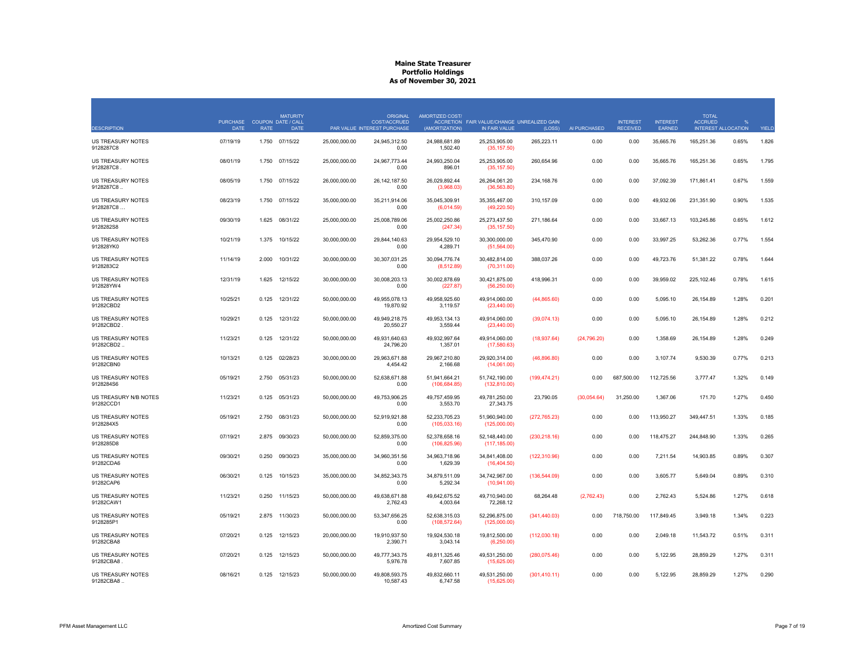|                                        | <b>PURCHASE</b> |             | <b>MATURITY</b><br>COUPON DATE / CALL |               | <b>ORIGINAL</b><br><b>COST/ACCRUED</b> | <b>AMORTIZED COST/</b>         | ACCRETION FAIR VALUE/CHANGE UNREALIZED GAIN |               |              | <b>INTEREST</b> | <b>INTEREST</b> | <b>TOTAL</b><br><b>ACCRUED</b> | $\frac{0}{0}$ |              |
|----------------------------------------|-----------------|-------------|---------------------------------------|---------------|----------------------------------------|--------------------------------|---------------------------------------------|---------------|--------------|-----------------|-----------------|--------------------------------|---------------|--------------|
| <b>DESCRIPTION</b>                     | <b>DATE</b>     | <b>RATE</b> | <b>DATE</b>                           |               | PAR VALUE INTEREST PURCHASE            | (AMORTIZATION)                 | IN FAIR VALUE                               | (LOSS)        | AI PURCHASED | <b>RECEIVED</b> | <b>EARNED</b>   | <b>INTEREST ALLOCATION</b>     |               | <b>YIELD</b> |
| US TREASURY NOTES<br>9128287C8         | 07/19/19        | 1.750       | 07/15/22                              | 25,000,000.00 | 24,945,312.50<br>0.00                  | 24,988,681.89<br>1,502.40      | 25,253,905.00<br>(35, 157.50)               | 265,223.11    | 0.00         | 0.00            | 35,665.76       | 165,251.36                     | 0.65%         | 1.826        |
| US TREASURY NOTES<br>9128287C8.        | 08/01/19        |             | 1.750 07/15/22                        | 25,000,000.00 | 24,967,773.44<br>0.00                  | 24,993,250.04<br>896.01        | 25,253,905.00<br>(35, 157.50)               | 260,654.96    | 0.00         | 0.00            | 35,665.76       | 165,251.36                     | 0.65%         | 1.795        |
| US TREASURY NOTES<br>9128287C8         | 08/05/19        |             | 1.750 07/15/22                        | 26,000,000.00 | 26, 142, 187.50<br>0.00                | 26,029,892.44<br>(3,968.03)    | 26,264,061.20<br>(36, 563.80)               | 234,168.76    | 0.00         | 0.00            | 37,092.39       | 171,861.41                     | 0.67%         | 1.559        |
| US TREASURY NOTES<br>9128287C8         | 08/23/19        |             | 1.750 07/15/22                        | 35,000,000.00 | 35,211,914.06<br>0.00                  | 35,045,309.91<br>(6,014.59)    | 35,355,467.00<br>(49, 220.50)               | 310,157.09    | 0.00         | 0.00            | 49,932.06       | 231,351.90                     | 0.90%         | 1.535        |
| US TREASURY NOTES<br>9128282S8         | 09/30/19        | 1.625       | 08/31/22                              | 25,000,000.00 | 25,008,789.06<br>0.00                  | 25,002,250.86<br>(247.34)      | 25,273,437.50<br>(35, 157.50)               | 271,186.64    | 0.00         | 0.00            | 33,667.13       | 103,245.86                     | 0.65%         | 1.612        |
| <b>US TREASURY NOTES</b><br>912828YK0  | 10/21/19        | 1.375       | 10/15/22                              | 30,000,000.00 | 29,844,140.63<br>0.00                  | 29,954,529.10<br>4,289.71      | 30,300,000.00<br>(51, 564.00)               | 345,470.90    | 0.00         | 0.00            | 33,997.25       | 53,262.36                      | 0.77%         | 1.554        |
| <b>US TREASURY NOTES</b><br>9128283C2  | 11/14/19        | 2.000       | 10/31/22                              | 30,000,000.00 | 30,307,031.25<br>0.00                  | 30,094,776.74<br>(8,512.89)    | 30,482,814.00<br>(70, 311.00)               | 388,037.26    | 0.00         | 0.00            | 49,723.76       | 51,381.22                      | 0.78%         | 1.644        |
| US TREASURY NOTES<br>912828YW4         | 12/31/19        | 1.625       | 12/15/22                              | 30,000,000.00 | 30,008,203.13<br>0.00                  | 30,002,878.69<br>(227.87)      | 30,421,875.00<br>(56, 250.00)               | 418,996.31    | 0.00         | 0.00            | 39,959.02       | 225,102.46                     | 0.78%         | 1.615        |
| US TREASURY NOTES<br>91282CBD2         | 10/25/21        | 0.125       | 12/31/22                              | 50,000,000.00 | 49,955,078.13<br>19,870.92             | 49,958,925.60<br>3,119.57      | 49,914,060.00<br>(23, 440.00)               | (44,865.60)   | 0.00         | 0.00            | 5,095.10        | 26,154.89                      | 1.28%         | 0.201        |
| US TREASURY NOTES<br>91282CBD2.        | 10/29/21        | 0.125       | 12/31/22                              | 50,000,000.00 | 49,949,218.75<br>20,550.27             | 49,953,134.13<br>3,559.44      | 49,914,060.00<br>(23, 440.00)               | (39,074.13)   | 0.00         | 0.00            | 5,095.10        | 26,154.89                      | 1.28%         | 0.212        |
| US TREASURY NOTES<br>91282CBD2         | 11/23/21        | 0.125       | 12/31/22                              | 50,000,000.00 | 49,931,640.63<br>24,796.20             | 49,932,997.64<br>1,357.01      | 49,914,060.00<br>(17,580.63)                | (18, 937.64)  | (24, 796.20) | 0.00            | 1,358.69        | 26,154.89                      | 1.28%         | 0.249        |
| <b>US TREASURY NOTES</b><br>91282CBN0  | 10/13/21        |             | 0.125 02/28/23                        | 30,000,000.00 | 29,963,671.88<br>4,454.42              | 29,967,210.80<br>2,166.68      | 29,920,314.00<br>(14,061.00)                | (46,896.80)   | 0.00         | 0.00            | 3,107.74        | 9,530.39                       | 0.77%         | 0.213        |
| <b>US TREASURY NOTES</b><br>9128284S6  | 05/19/21        | 2.750       | 05/31/23                              | 50,000,000.00 | 52,638,671.88<br>0.00                  | 51,941,664.21<br>(106, 684.85) | 51,742,190.00<br>(132, 810.00)              | (199, 474.21) | 0.00         | 687,500.00      | 112,725.56      | 3,777.47                       | 1.32%         | 0.149        |
| US TREASURY N/B NOTES<br>91282CCD1     | 11/23/21        | 0.125       | 05/31/23                              | 50,000,000.00 | 49,753,906.25<br>0.00                  | 49,757,459.95<br>3,553.70      | 49,781,250.00<br>27,343.75                  | 23,790.05     | (30,054.64)  | 31,250.00       | 1,367.06        | 171.70                         | 1.27%         | 0.450        |
| <b>US TREASURY NOTES</b><br>9128284X5  | 05/19/21        |             | 2.750 08/31/23                        | 50,000,000.00 | 52,919,921.88<br>0.00                  | 52,233,705.23<br>(105, 033.16) | 51,960,940.00<br>(125,000.00)               | (272, 765.23) | 0.00         | 0.00            | 113,950.27      | 349,447.51                     | 1.33%         | 0.185        |
| <b>US TREASURY NOTES</b><br>9128285D8  | 07/19/21        |             | 2.875 09/30/23                        | 50,000,000.00 | 52,859,375.00<br>0.00                  | 52,378,658.16<br>(106, 825.96) | 52,148,440.00<br>(117, 185.00)              | (230, 218.16) | 0.00         | 0.00            | 118,475.27      | 244,848.90                     | 1.33%         | 0.265        |
| <b>US TREASURY NOTES</b><br>91282CDA6  | 09/30/21        | 0.250       | 09/30/23                              | 35,000,000.00 | 34,960,351.56<br>0.00                  | 34,963,718.96<br>1,629.39      | 34,841,408.00<br>(16, 404.50)               | (122, 310.96) | 0.00         | 0.00            | 7,211.54        | 14,903.85                      | 0.89%         | 0.307        |
| US TREASURY NOTES<br>91282CAP6         | 06/30/21        | 0.125       | 10/15/23                              | 35,000,000.00 | 34,852,343.75<br>0.00                  | 34,879,511.09<br>5,292.34      | 34,742,967.00<br>(10,941.00)                | (136, 544.09) | 0.00         | 0.00            | 3,605.77        | 5,649.04                       | 0.89%         | 0.310        |
| <b>US TREASURY NOTES</b><br>91282CAW1  | 11/23/21        | 0.250       | 11/15/23                              | 50,000,000.00 | 49,638,671.88<br>2,762.43              | 49,642,675.52<br>4,003.64      | 49,710,940.00<br>72,268.12                  | 68,264.48     | (2,762.43)   | 0.00            | 2,762.43        | 5,524.86                       | 1.27%         | 0.618        |
| <b>US TREASURY NOTES</b><br>9128285P1  | 05/19/21        |             | 2.875 11/30/23                        | 50,000,000.00 | 53,347,656.25<br>0.00                  | 52,638,315.03<br>(108, 572.64) | 52,296,875.00<br>(125,000.00)               | (341, 440.03) | 0.00         | 718,750.00      | 117,849.45      | 3,949.18                       | 1.34%         | 0.223        |
| <b>US TREASURY NOTES</b><br>91282CBA8  | 07/20/21        | 0.125       | 12/15/23                              | 20,000,000.00 | 19,910,937.50<br>2,390.71              | 19,924,530.18<br>3,043.14      | 19,812,500.00<br>(6,250.00)                 | (112,030.18)  | 0.00         | 0.00            | 2,049.18        | 11,543.72                      | 0.51%         | 0.311        |
| <b>US TREASURY NOTES</b><br>91282CBA8. | 07/20/21        | 0.125       | 12/15/23                              | 50,000,000.00 | 49,777,343.75<br>5,976.78              | 49,811,325.46<br>7,607.85      | 49,531,250.00<br>(15,625.00)                | (280, 075.46) | 0.00         | 0.00            | 5,122.95        | 28,859.29                      | 1.27%         | 0.311        |
| US TREASURY NOTES<br>91282CBA8         | 08/16/21        |             | 0.125 12/15/23                        | 50,000,000.00 | 49,808,593.75<br>10,587.43             | 49,832,660.11<br>6,747.58      | 49,531,250.00<br>(15,625.00)                | (301, 410.11) | 0.00         | 0.00            | 5,122.95        | 28,859.29                      | 1.27%         | 0.290        |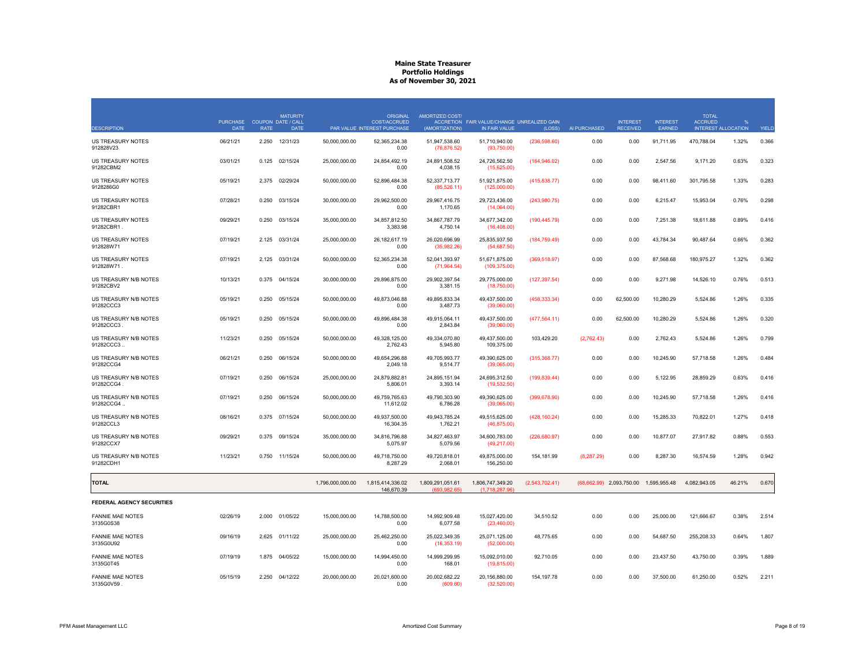|                                      | <b>PURCHASE</b> | <b>COUPON DATE / CALL</b> | <b>MATURITY</b> |                  | <b>ORIGINAL</b><br><b>COST/ACCRUED</b> | <b>AMORTIZED COST/</b>            | ACCRETION FAIR VALUE/CHANGE UNREALIZED GAIN |                |              | <b>INTEREST</b> | <b>INTEREST</b> | <b>TOTAL</b><br><b>ACCRUED</b> | $\frac{0}{0}$              |              |
|--------------------------------------|-----------------|---------------------------|-----------------|------------------|----------------------------------------|-----------------------------------|---------------------------------------------|----------------|--------------|-----------------|-----------------|--------------------------------|----------------------------|--------------|
| <b>DESCRIPTION</b>                   | <b>DATE</b>     | <b>RATE</b>               | <b>DATE</b>     |                  | PAR VALUE INTEREST PURCHASE            | (AMORTIZATION)                    | IN FAIR VALUE                               | (LOSS)         | AI PURCHASED | <b>RECEIVED</b> | <b>EARNED</b>   |                                | <b>INTEREST ALLOCATION</b> | <b>YIELD</b> |
| US TREASURY NOTES<br>912828V23       | 06/21/21        | 2.250                     | 12/31/23        | 50,000,000.00    | 52,365,234.38<br>0.00                  | 51,947,538.60<br>(76, 876.52)     | 51,710,940.00<br>(93,750.00)                | (236, 598.60)  | 0.00         | 0.00            | 91,711.95       | 470,788.04                     | 1.32%                      | 0.366        |
| US TREASURY NOTES<br>91282CBM2       | 03/01/21        | 0.125                     | 02/15/24        | 25,000,000.00    | 24,854,492.19<br>0.00                  | 24,891,508.52<br>4,038.15         | 24,726,562.50<br>(15,625.00)                | (164, 946.02)  | 0.00         | 0.00            | 2,547.56        | 9,171.20                       | 0.63%                      | 0.323        |
| US TREASURY NOTES<br>9128286G0       | 05/19/21        |                           | 2.375 02/29/24  | 50,000,000.00    | 52,896,484.38<br>0.00                  | 52,337,713.77<br>(85, 526.11)     | 51,921,875.00<br>(125,000.00)               | (415,838.77)   | 0.00         | 0.00            | 98,411.60       | 301,795.58                     | 1.33%                      | 0.283        |
| US TREASURY NOTES<br>91282CBR1       | 07/28/21        | 0.250                     | 03/15/24        | 30,000,000.00    | 29,962,500.00<br>0.00                  | 29,967,416.75<br>1,170.65         | 29,723,436.00<br>(14,064.00)                | (243,980.75)   | 0.00         | 0.00            | 6,215.47        | 15,953.04                      | 0.76%                      | 0.298        |
| US TREASURY NOTES<br>91282CBR1       | 09/29/21        | 0.250                     | 03/15/24        | 35,000,000.00    | 34,857,812.50<br>3,383.98              | 34,867,787.79<br>4,750.14         | 34,677,342.00<br>(16, 408.00)               | (190, 445.79)  | 0.00         | 0.00            | 7,251.38        | 18,611.88                      | 0.89%                      | 0.416        |
| US TREASURY NOTES<br>912828W71       | 07/19/21        | 2.125                     | 03/31/24        | 25,000,000.00    | 26, 182, 617. 19<br>0.00               | 26,020,696.99<br>(35,982.26)      | 25,835,937.50<br>(54, 687.50)               | (184, 759.49)  | 0.00         | 0.00            | 43,784.34       | 90,487.64                      | 0.66%                      | 0.362        |
| US TREASURY NOTES<br>912828W71.      | 07/19/21        | 2.125                     | 03/31/24        | 50,000,000.00    | 52,365,234.38<br>0.00                  | 52,041,393.97<br>(71, 964.54)     | 51,671,875.00<br>(109, 375.00)              | (369, 518.97)  | 0.00         | 0.00            | 87,568.68       | 180,975.27                     | 1.32%                      | 0.362        |
| US TREASURY N/B NOTES<br>91282CBV2   | 10/13/21        | 0.375                     | 04/15/24        | 30,000,000.00    | 29,896,875.00<br>0.00                  | 29,902,397.54<br>3,381.15         | 29,775,000.00<br>(18,750.00)                | (127, 397.54)  | 0.00         | 0.00            | 9,271.98        | 14,526.10                      | 0.76%                      | 0.513        |
| US TREASURY N/B NOTES<br>91282CCC3   | 05/19/21        | 0.250                     | 05/15/24        | 50,000,000.00    | 49,873,046.88<br>0.00                  | 49,895,833.34<br>3,487.73         | 49,437,500.00<br>(39,060.00)                | (458, 333.34)  | 0.00         | 62,500.00       | 10,280.29       | 5,524.86                       | 1.26%                      | 0.335        |
| US TREASURY N/B NOTES<br>91282CCC3   | 05/19/21        | 0.250                     | 05/15/24        | 50,000,000.00    | 49,896,484.38<br>0.00                  | 49,915,064.11<br>2,843.84         | 49,437,500.00<br>(39,060.00)                | (477, 564.11)  | 0.00         | 62,500.00       | 10,280.29       | 5,524.86                       | 1.26%                      | 0.320        |
| US TREASURY N/B NOTES<br>91282CCC3   | 11/23/21        | 0.250                     | 05/15/24        | 50,000,000.00    | 49,328,125.00<br>2,762.43              | 49,334,070.80<br>5,945.80         | 49,437,500.00<br>109,375.00                 | 103,429.20     | (2,762.43)   | 0.00            | 2,762.43        | 5,524.86                       | 1.26%                      | 0.799        |
| US TREASURY N/B NOTES<br>91282CCG4   | 06/21/21        | 0.250                     | 06/15/24        | 50,000,000.00    | 49,654,296.88<br>2,049.18              | 49,705,993.77<br>9,514.77         | 49,390,625.00<br>(39,065.00)                | (315, 368.77)  | 0.00         | 0.00            | 10,245.90       | 57,718.58                      | 1.26%                      | 0.484        |
| US TREASURY N/B NOTES<br>91282CCG4.  | 07/19/21        | 0.250                     | 06/15/24        | 25,000,000.00    | 24,879,882.81<br>5,806.01              | 24,895,151.94<br>3,393.14         | 24,695,312.50<br>(19,532.50)                | (199, 839.44)  | 0.00         | 0.00            | 5,122.95        | 28,859.29                      | 0.63%                      | 0.416        |
| US TREASURY N/B NOTES<br>91282CCG4   | 07/19/21        | 0.250                     | 06/15/24        | 50,000,000.00    | 49,759,765.63<br>11,612.02             | 49,790,303.90<br>6,786.28         | 49,390,625.00<br>(39,065.00)                | (399, 678.90)  | 0.00         | 0.00            | 10,245.90       | 57,718.58                      | 1.26%                      | 0.416        |
| US TREASURY N/B NOTES<br>91282CCL3   | 08/16/21        |                           | 0.375 07/15/24  | 50,000,000.00    | 49,937,500.00<br>16,304.35             | 49,943,785.24<br>1,762.21         | 49,515,625.00<br>(46, 875.00)               | (428, 160.24)  | 0.00         | 0.00            | 15,285.33       | 70,822.01                      | 1.27%                      | 0.418        |
| US TREASURY N/B NOTES<br>91282CCX7   | 09/29/21        |                           | 0.375 09/15/24  | 35,000,000.00    | 34,816,796.88<br>5,075.97              | 34,827,463.97<br>5,079.56         | 34,600,783.00<br>(49, 217.00)               | (226, 680.97)  | 0.00         | 0.00            | 10,877.07       | 27,917.82                      | 0.88%                      | 0.553        |
| US TREASURY N/B NOTES<br>91282CDH1   | 11/23/21        | 0.750                     | 11/15/24        | 50,000,000.00    | 49,718,750.00<br>8,287.29              | 49,720,818.01<br>2,068.01         | 49,875,000.00<br>156,250.00                 | 154,181.99     | (8,287.29)   | 0.00            | 8,287.30        | 16,574.59                      | 1.28%                      | 0.942        |
| <b>TOTAL</b>                         |                 |                           |                 | 1,796,000,000.00 | 1,815,414,336.02<br>146,670.39         | 1,809,291,051.61<br>(693, 982.65) | 1,806,747,349.20<br>(1,718,287.96)          | (2,543,702.41) | (68, 662.99) | 2,093,750.00    | 1,595,955.48    | 4,082,943.05                   | 46.21%                     | 0.670        |
| <b>FEDERAL AGENCY SECURITIES</b>     |                 |                           |                 |                  |                                        |                                   |                                             |                |              |                 |                 |                                |                            |              |
| <b>FANNIE MAE NOTES</b><br>3135G0S38 | 02/26/19        | 2.000                     | 01/05/22        | 15,000,000.00    | 14,788,500.00<br>0.00                  | 14,992,909.48<br>6,077.58         | 15,027,420.00<br>(23, 460.00)               | 34,510.52      | 0.00         | 0.00            | 25,000.00       | 121,666.67                     | 0.38%                      | 2.514        |
| <b>FANNIE MAE NOTES</b><br>3135G0U92 | 09/16/19        |                           | 2.625 01/11/22  | 25,000,000.00    | 25,462,250.00<br>0.00                  | 25,022,349.35<br>(16, 353.19)     | 25,071,125.00<br>(52,000.00)                | 48,775.65      | 0.00         | 0.00            | 54,687.50       | 255,208.33                     | 0.64%                      | 1.807        |
| <b>FANNIE MAE NOTES</b><br>3135G0T45 | 07/19/19        |                           | 1.875 04/05/22  | 15,000,000.00    | 14,994,450.00<br>0.00                  | 14,999,299.95<br>168.01           | 15,092,010.00<br>(19, 815.00)               | 92,710.05      | 0.00         | 0.00            | 23,437.50       | 43,750.00                      | 0.39%                      | 1.889        |
| <b>FANNIE MAE NOTES</b><br>3135G0V59 | 05/15/19        | 2.250                     | 04/12/22        | 20,000,000.00    | 20,021,600.00<br>0.00                  | 20,002,682.22<br>(609.60)         | 20,156,880.00<br>(32,520.00)                | 154,197.78     | 0.00         | 0.00            | 37,500.00       | 61,250.00                      | 0.52%                      | 2.211        |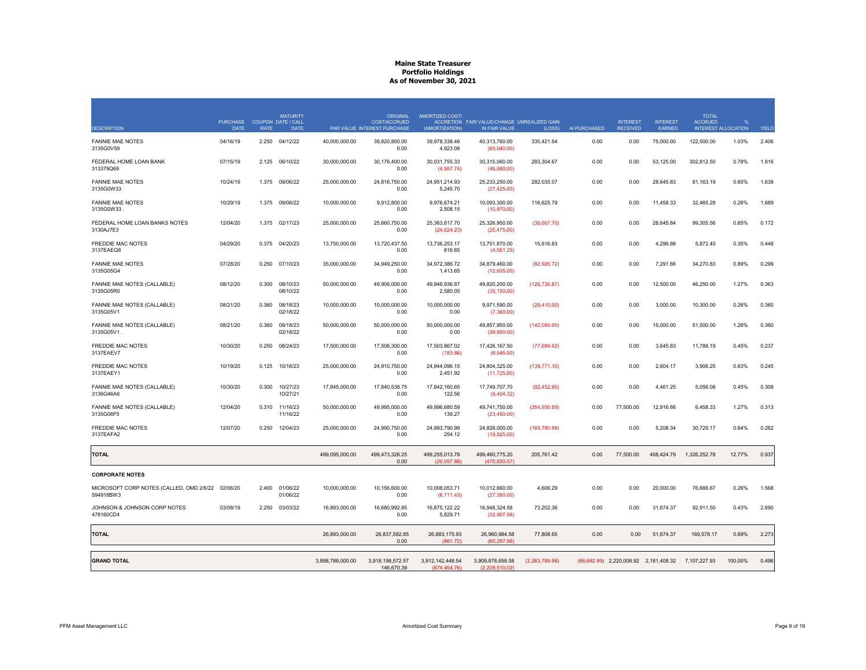|                                                                | <b>PURCHASE</b> |             | <b>MATURITY</b><br><b>COUPON DATE / CALL</b> |                  | <b>ORIGINAL</b><br>COST/ACCRUED | <b>AMORTIZED COST/</b>            | ACCRETION FAIR VALUE/CHANGE UNREALIZED GAIN |                |              | <b>INTEREST</b>                       | <b>INTEREST</b> | <b>TOTAL</b><br><b>ACCRUED</b> | $\frac{0}{0}$              |              |
|----------------------------------------------------------------|-----------------|-------------|----------------------------------------------|------------------|---------------------------------|-----------------------------------|---------------------------------------------|----------------|--------------|---------------------------------------|-----------------|--------------------------------|----------------------------|--------------|
| <b>DESCRIPTION</b>                                             | <b>DATE</b>     | <b>RATE</b> | <b>DATE</b>                                  |                  | PAR VALUE INTEREST PURCHASE     | (AMORTIZATION)                    | <b>IN FAIR VALUE</b>                        | (LOSS)         | AI PURCHASED | <b>RECEIVED</b>                       | <b>EARNED</b>   |                                | <b>INTEREST ALLOCATION</b> | <b>YIELD</b> |
| <b>FANNIE MAE NOTES</b><br>3135G0V59                           | 04/16/19        | 2.250       | 04/12/22                                     | 40,000,000.00    | 39,820,800.00<br>0.00           | 39,978,338.46<br>4,923.08         | 40,313,760.00<br>(65,040.00)                | 335,421.54     | 0.00         | 0.00                                  | 75,000.00       | 122,500.00                     | 1.03%                      | 2.406        |
| FEDERAL HOME LOAN BANK<br>313379Q69                            | 07/15/19        | 2.125       | 06/10/22                                     | 30,000,000.00    | 30,176,400.00<br>0.00           | 30,031,755.33<br>(4,987.74)       | 30,315,060.00<br>(46,680.00)                | 283,304.67     | 0.00         | 0.00                                  | 53,125.00       | 302,812.50                     | 0.78%                      | 1.916        |
| <b>FANNIE MAE NOTES</b><br>3135G0W33                           | 10/24/19        | 1.375       | 09/06/22                                     | 25,000,000.00    | 24,816,750.00<br>0.00           | 24,951,214.93<br>5,245.70         | 25,233,250.00<br>(27, 425.00)               | 282,035.07     | 0.00         | 0.00                                  | 28,645.83       | 81,163.19                      | 0.65%                      | 1.638        |
| <b>FANNIE MAE NOTES</b><br>3135G0W33.                          | 10/29/19        |             | 1.375 09/06/22                               | 10,000,000.00    | 9,912,800.00<br>0.00            | 9,976,674.21<br>2,508.15          | 10,093,300.00<br>(10, 970.00)               | 116,625.79     | 0.00         | 0.00                                  | 11,458.33       | 32,465.28                      | 0.26%                      | 1.689        |
| FEDERAL HOME LOAN BANKS NOTES<br>3130AJ7E3                     | 12/04/20        | 1.375       | 02/17/23                                     | 25,000,000.00    | 25,660,750.00<br>0.00           | 25,363,617.70<br>(24, 624.23)     | 25,326,950.00<br>(25, 475.00)               | (36,667.70)    | 0.00         | 0.00                                  | 28,645.84       | 99,305.56                      | 0.65%                      | 0.172        |
| <b>FREDDIE MAC NOTES</b><br>3137EAEQ8                          | 04/29/20        |             | 0.375 04/20/23                               | 13,750,000.00    | 13,720,437.50<br>0.00           | 13,736,253.17<br>816.65           | 13,751,870.00<br>(4, 551.25)                | 15,616.83      | 0.00         | 0.00                                  | 4,296.88        | 5,872.40                       | 0.35%                      | 0.448        |
| <b>FANNIE MAE NOTES</b><br>3135G05G4                           | 07/28/20        | 0.250       | 07/10/23                                     | 35,000,000.00    | 34,949,250.00<br>0.00           | 34,972,386.72<br>1,413.65         | 34,879,460.00<br>(12,635.00)                | (92, 926.72)   | 0.00         | 0.00                                  | 7,291.66        | 34,270.83                      | 0.89%                      | 0.299        |
| FANNIE MAE NOTES (CALLABLE)<br>3135G05R0                       | 08/12/20        | 0.300       | 08/10/23<br>08/10/22                         | 50,000,000.00    | 49,906,000.00<br>0.00           | 49,946,936.87<br>2,580.05         | 49,820,200.00<br>(35, 150.00)               | (126, 736.87)  | 0.00         | 0.00                                  | 12,500.00       | 46,250.00                      | 1.27%                      | 0.363        |
| <b>FANNIE MAE NOTES (CALLABLE)</b><br>3135G05V1                | 08/21/20        | 0.360       | 08/18/23<br>02/18/22                         | 10,000,000.00    | 10,000,000.00<br>0.00           | 10,000,000.00<br>0.00             | 9,971,590.00<br>(7,360.00)                  | (28, 410.00)   | 0.00         | 0.00                                  | 3,000.00        | 10,300.00                      | 0.26%                      | 0.360        |
| <b>FANNIE MAE NOTES (CALLABLE)</b><br>3135G05V1                | 08/21/20        | 0.360       | 08/18/23<br>02/18/22                         | 50,000,000.00    | 50,000,000.00<br>0.00           | 50,000,000.00<br>0.00             | 49,857,950.00<br>(36,800.00)                | (142,050.00)   | 0.00         | 0.00                                  | 15,000.00       | 51,500.00                      | 1.28%                      | 0.360        |
| <b>FREDDIE MAC NOTES</b><br>3137EAEV7                          | 10/30/20        | 0.250       | 08/24/23                                     | 17,500,000.00    | 17,506,300.00<br>0.00           | 17,503,867.02<br>(183.86)         | 17,426,167.50<br>(6, 545.00)                | (77,699.52)    | 0.00         | 0.00                                  | 3,645.83        | 11,788.19                      | 0.45%                      | 0.237        |
| <b>FREDDIE MAC NOTES</b><br>3137EAEY1                          | 10/19/20        | 0.125       | 10/16/23                                     | 25,000,000.00    | 24,910,750.00<br>0.00           | 24,944,096.15<br>2,451.92         | 24,804,325.00<br>(11, 725.00)               | (139, 771.15)  | 0.00         | 0.00                                  | 2,604.17        | 3,906.25                       | 0.63%                      | 0.245        |
| FANNIE MAE NOTES (CALLABLE)<br>3136G46A6                       | 10/30/20        | 0.300       | 10/27/23<br>10/27/21                         | 17,845,000.00    | 17,840,538.75<br>0.00           | 17,842,160.65<br>122.56           | 17,749,707.70<br>(9,404.32)                 | (92, 452.95)   | 0.00         | 0.00                                  | 4,461.25        | 5,056.08                       | 0.45%                      | 0.308        |
| <b>FANNIE MAE NOTES (CALLABLE)</b><br>3135G06F5                | 12/04/20        | 0.310       | 11/16/23<br>11/16/22                         | 50,000,000.00    | 49,995,000.00<br>0.00           | 49,996,680.59<br>139.27           | 49,741,750.00<br>(23, 450.00)               | (254, 930.59)  | 0.00         | 77,500.00                             | 12,916.66       | 6,458.33                       | 1.27%                      | 0.313        |
| <b>FREDDIE MAC NOTES</b><br>3137EAFA2                          | 12/07/20        | 0.250       | 12/04/23                                     | 25,000,000.00    | 24,990,750.00<br>0.00           | 24,993,790.98<br>254.12           | 24,828,000.00<br>(19,825.00)                | (165, 790.98)  | 0.00         | 0.00                                  | 5,208.34        | 30,729.17                      | 0.64%                      | 0.262        |
| <b>TOTAL</b>                                                   |                 |             |                                              | 499,095,000.00   | 499,473,326.25<br>0.00          | 499,255,013.78<br>(20,057.88)     | 499,460,775.20<br>(470, 830.57)             | 205,761.42     | 0.00         | 77,500.00                             | 408,424.79      | 1,326,252.78                   | 12.77%                     | 0.937        |
| <b>CORPORATE NOTES</b>                                         |                 |             |                                              |                  |                                 |                                   |                                             |                |              |                                       |                 |                                |                            |              |
| MICROSOFT CORP NOTES (CALLED, OMD 2/6/22 02/06/20<br>594918BW3 |                 | 2.400       | 01/06/22<br>01/06/22                         | 10,000,000.00    | 10,156,600.00<br>0.00           | 10,008,053.71<br>(6,711.43)       | 10,012,660.00<br>(27, 350.00)               | 4,606.29       | 0.00         | 0.00                                  | 20,000.00       | 76,666.67                      | 0.26%                      | 1.568        |
| JOHNSON & JOHNSON CORP NOTES<br>478160CD4                      | 03/08/19        | 2.250       | 03/03/22                                     | 16,893,000.00    | 16,680,992.85<br>0.00           | 16,875,122.22<br>5,829.71         | 16,948,324.58<br>(32,907.56)                | 73,202.36      | 0.00         | 0.00                                  | 31,674.37       | 92,911.50                      | 0.43%                      | 2.690        |
| <b>TOTAL</b>                                                   |                 |             |                                              | 26,893,000.00    | 26,837,592.85<br>0.00           | 26,883,175.93<br>(881.72)         | 26,960,984.58<br>(60, 257.56)               | 77,808.65      | 0.00         | 0.00                                  | 51,674.37       | 169,578.17                     | 0.69%                      | 2.273        |
| <b>GRAND TOTAL</b>                                             |                 |             |                                              | 3,898,788,000.00 | 3,918,198,572.57<br>146,670.39  | 3,912,142,448.54<br>(674, 454.76) | 3,909,878,658.58<br>(2,228,510.02)          | (2,263,789.96) |              | (68,662.99) 2,220,008.92 2,181,408.32 |                 | 7,107,227.93                   | 100.00%                    | 0.496        |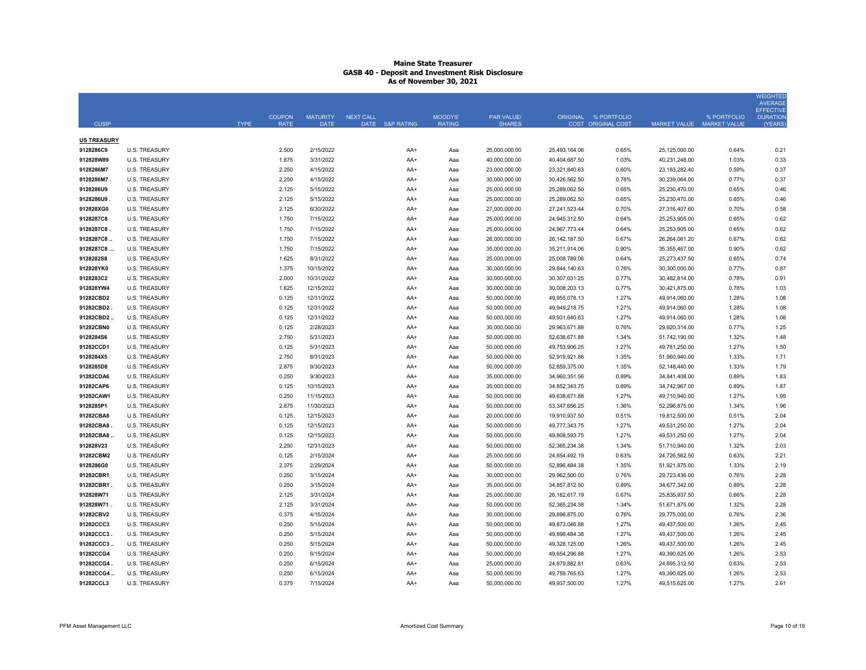|                    |                      |             |                              |                                |                              |                          |                             |                  |                                            |                     |                                    | <b>WEIGHTED</b><br><b>AVERAGE</b><br><b>EFFECTIVE</b> |
|--------------------|----------------------|-------------|------------------------------|--------------------------------|------------------------------|--------------------------|-----------------------------|------------------|--------------------------------------------|---------------------|------------------------------------|-------------------------------------------------------|
| <b>CUSIP</b>       |                      | <b>TYPE</b> | <b>COUPON</b><br><b>RATE</b> | <b>MATURITY</b><br><b>DATE</b> | NEXT CALL<br>DATE S&P RATING | MOODYS'<br><b>RATING</b> | PAR VALUE/<br><b>SHARES</b> |                  | ORIGINAL % PORTFOLIO<br>COST ORIGINAL COST | <b>MARKET VALUE</b> | % PORTFOLIO<br><b>MARKET VALUE</b> | <b>DURATION</b><br>(YEARS)                            |
| <b>US TREASURY</b> |                      |             |                              |                                |                              |                          |                             |                  |                                            |                     |                                    |                                                       |
| 9128286C9          | <b>U.S. TREASURY</b> |             | 2.500                        | 2/15/2022                      | AA+                          | Aaa                      | 25,000,000.00               | 25,493,164.06    | 0.65%                                      | 25,125,000.00       | 0.64%                              | 0.21                                                  |
| 912828W89          | <b>U.S. TREASURY</b> |             | 1.875                        | 3/31/2022                      | AA+                          | Aaa                      | 40,000,000.00               | 40,404,687.50    | 1.03%                                      | 40,231,248.00       | 1.03%                              | 0.33                                                  |
| 9128286M7          | <b>U.S. TREASURY</b> |             | 2.250                        | 4/15/2022                      | AA+                          | Aaa                      | 23,000,000.00               | 23,321,640.63    | 0.60%                                      | 23, 183, 282. 40    | 0.59%                              | 0.37                                                  |
| 9128286M7          | <b>U.S. TREASURY</b> |             | 2.250                        | 4/15/2022                      | AA+                          | Aaa                      | 30,000,000.00               | 30,426,562.50    | 0.78%                                      | 30,239,064.00       | 0.77%                              | 0.37                                                  |
| 9128286U9          | <b>U.S. TREASURY</b> |             | 2.125                        | 5/15/2022                      | AA+                          | Aaa                      | 25,000,000.00               | 25,289,062.50    | 0.65%                                      | 25,230,470.00       | 0.65%                              | 0.46                                                  |
| 9128286U9          | <b>U.S. TREASURY</b> |             | 2.125                        | 5/15/2022                      | AA+                          | Aaa                      | 25,000,000.00               | 25,289,062.50    | 0.65%                                      | 25,230,470.00       | 0.65%                              | 0.46                                                  |
| 912828XG0          | <b>U.S. TREASURY</b> |             | 2.125                        | 6/30/2022                      | AA+                          | Aaa                      | 27,000,000.00               | 27,241,523.44    | 0.70%                                      | 27,316,407.60       | 0.70%                              | 0.58                                                  |
| 9128287C8          | <b>U.S. TREASURY</b> |             | 1.750                        | 7/15/2022                      | AA+                          | Aaa                      | 25,000,000.00               | 24,945,312.50    | 0.64%                                      | 25,253,905.00       | 0.65%                              | 0.62                                                  |
| 9128287C8          | <b>U.S. TREASURY</b> |             | 1.750                        | 7/15/2022                      | AA+                          | Aaa                      | 25,000,000.00               | 24,967,773.44    | 0.64%                                      | 25,253,905.00       | 0.65%                              | 0.62                                                  |
| 9128287C8          | <b>U.S. TREASURY</b> |             | 1.750                        | 7/15/2022                      | AA+                          | Aaa                      | 26,000,000.00               | 26, 142, 187.50  | 0.67%                                      | 26,264,061.20       | 0.67%                              | 0.62                                                  |
| 9128287C8          | <b>U.S. TREASURY</b> |             | 1.750                        | 7/15/2022                      | AA+                          | Aaa                      | 35,000,000.00               | 35,211,914.06    | 0.90%                                      | 35,355,467.00       | 0.90%                              | 0.62                                                  |
| 9128282S8          | <b>U.S. TREASURY</b> |             | 1.625                        | 8/31/2022                      | AA+                          | Aaa                      | 25,000,000.00               | 25,008,789.06    | 0.64%                                      | 25,273,437.50       | 0.65%                              | 0.74                                                  |
| 912828YK0          | <b>U.S. TREASURY</b> |             | 1.375                        | 10/15/2022                     | AA+                          | Aaa                      | 30,000,000.00               | 29,844,140.63    | 0.76%                                      | 30,300,000.00       | 0.77%                              | 0.87                                                  |
| 9128283C2          | <b>U.S. TREASURY</b> |             | 2.000                        | 10/31/2022                     | AA+                          | Aaa                      | 30,000,000.00               | 30,307,031.25    | 0.77%                                      | 30,482,814.00       | 0.78%                              | 0.91                                                  |
| 912828YW4          | <b>U.S. TREASURY</b> |             | 1.625                        | 12/15/2022                     | AA+                          | Aaa                      | 30,000,000.00               | 30,008,203.13    | 0.77%                                      | 30,421,875.00       | 0.78%                              | 1.03                                                  |
| 91282CBD2          | <b>U.S. TREASURY</b> |             | 0.125                        | 12/31/2022                     | AA+                          | Aaa                      | 50,000,000.00               | 49,955,078.13    | 1.27%                                      | 49,914,060.00       | 1.28%                              | 1.08                                                  |
| 91282CBD2          | <b>U.S. TREASURY</b> |             | 0.125                        | 12/31/2022                     | AA+                          | Aaa                      | 50,000,000.00               | 49,949,218.75    | 1.27%                                      | 49,914,060.00       | 1.28%                              | 1.08                                                  |
| 91282CBD2          | <b>U.S. TREASURY</b> |             | 0.125                        | 12/31/2022                     | AA+                          | Aaa                      | 50,000,000.00               | 49,931,640.63    | 1.27%                                      | 49,914,060.00       | 1.28%                              | 1.08                                                  |
| 91282CBN0          | <b>U.S. TREASURY</b> |             | 0.125                        | 2/28/2023                      | AA+                          | Aaa                      | 30,000,000.00               | 29,963,671.88    | 0.76%                                      | 29,920,314.00       | 0.77%                              | 1.25                                                  |
| 9128284S6          | <b>U.S. TREASURY</b> |             | 2.750                        | 5/31/2023                      | AA+                          | Aaa                      | 50,000,000.00               | 52,638,671.88    | 1.34%                                      | 51,742,190.00       | 1.32%                              | 1.48                                                  |
| 91282CCD1          | <b>U.S. TREASURY</b> |             | 0.125                        | 5/31/2023                      | AA+                          | Aaa                      | 50,000,000.00               | 49,753,906.25    | 1.27%                                      | 49,781,250.00       | 1.27%                              | 1.50                                                  |
| 9128284X5          | <b>U.S. TREASURY</b> |             | 2.750                        | 8/31/2023                      | AA+                          | Aaa                      | 50,000,000.00               | 52,919,921.88    | 1.35%                                      | 51,960,940.00       | 1.33%                              | 1.71                                                  |
| 9128285D8          | <b>U.S. TREASURY</b> |             | 2.875                        | 9/30/2023                      | AA+                          | Aaa                      | 50,000,000.00               | 52,859,375.00    | 1.35%                                      | 52,148,440.00       | 1.33%                              | 1.79                                                  |
| 91282CDA6          | <b>U.S. TREASURY</b> |             | 0.250                        | 9/30/2023                      | AA+                          | Aaa                      | 35,000,000.00               | 34,960,351.56    | 0.89%                                      | 34,841,408.00       | 0.89%                              | 1.83                                                  |
| 91282CAP6          | <b>U.S. TREASURY</b> |             | 0.125                        | 10/15/2023                     | AA+                          | Aaa                      | 35,000,000.00               | 34,852,343.75    | 0.89%                                      | 34,742,967.00       | 0.89%                              | 1.87                                                  |
| 91282CAW1          | <b>U.S. TREASURY</b> |             | 0.250                        | 11/15/2023                     | AA+                          | Aaa                      | 50,000,000.00               | 49,638,671.88    | 1.27%                                      | 49,710,940.00       | 1.27%                              | 1.95                                                  |
| 9128285P1          | <b>U.S. TREASURY</b> |             | 2.875                        | 11/30/2023                     | AA+                          | Aaa                      | 50,000,000.00               | 53,347,656.25    | 1.36%                                      | 52,296,875.00       | 1.34%                              | 1.96                                                  |
| 91282CBA8          | <b>U.S. TREASURY</b> |             | 0.125                        | 12/15/2023                     | AA+                          | Aaa                      | 20,000,000.00               | 19,910,937.50    | 0.51%                                      | 19,812,500.00       | 0.51%                              | 2.04                                                  |
| 91282CBA8          | <b>U.S. TREASURY</b> |             | 0.125                        | 12/15/2023                     | AA+                          | Aaa                      | 50,000,000.00               | 49,777,343.75    | 1.27%                                      | 49,531,250.00       | 1.27%                              | 2.04                                                  |
| 91282CBA8          | <b>U.S. TREASURY</b> |             | 0.125                        | 12/15/2023                     | AA+                          | Aaa                      | 50,000,000.00               | 49,808,593.75    | 1.27%                                      | 49,531,250.00       | 1.27%                              | 2.04                                                  |
| 912828V23          | <b>U.S. TREASURY</b> |             | 2.250                        | 12/31/2023                     | AA+                          | Aaa                      | 50,000,000.00               | 52,365,234.38    | 1.34%                                      | 51,710,940.00       | 1.32%                              | 2.03                                                  |
| 91282CBM2          | <b>U.S. TREASURY</b> |             | 0.125                        | 2/15/2024                      | AA+                          | Aaa                      | 25,000,000.00               | 24,854,492.19    | 0.63%                                      | 24,726,562.50       | 0.63%                              | 2.21                                                  |
| 9128286G0          | <b>U.S. TREASURY</b> |             | 2.375                        | 2/29/2024                      | AA+                          | Aaa                      | 50,000,000.00               | 52,896,484.38    | 1.35%                                      | 51,921,875.00       | 1.33%                              | 2.19                                                  |
| 91282CBR1          | <b>U.S. TREASURY</b> |             | 0.250                        | 3/15/2024                      | AA+                          | Aaa                      | 30,000,000.00               | 29,962,500.00    | 0.76%                                      | 29,723,436.00       | 0.76%                              | 2.28                                                  |
| 91282CBR1          | <b>U.S. TREASURY</b> |             | 0.250                        | 3/15/2024                      | AA+                          | Aaa                      | 35,000,000.00               | 34,857,812.50    | 0.89%                                      | 34,677,342.00       | 0.89%                              | 2.28                                                  |
| 912828W71          | <b>U.S. TREASURY</b> |             | 2.125                        | 3/31/2024                      | AA+                          | Aaa                      | 25,000,000.00               | 26, 182, 617. 19 | 0.67%                                      | 25,835,937.50       | 0.66%                              | 2.28                                                  |
| 912828W71.         | <b>U.S. TREASURY</b> |             | 2.125                        | 3/31/2024                      | AA+                          | Aaa                      | 50,000,000.00               | 52,365,234.38    | 1.34%                                      | 51,671,875.00       | 1.32%                              | 2.28                                                  |
| 91282CBV2          | <b>U.S. TREASURY</b> |             | 0.375                        | 4/15/2024                      | AA+                          | Aaa                      | 30,000,000.00               | 29,896,875.00    | 0.76%                                      | 29,775,000.00       | 0.76%                              | 2.36                                                  |
| 91282CCC3          | <b>U.S. TREASURY</b> |             | 0.250                        | 5/15/2024                      | AA+                          | Aaa                      | 50,000,000.00               | 49,873,046.88    | 1.27%                                      | 49,437,500.00       | 1.26%                              | 2.45                                                  |
| 91282CCC3          | <b>U.S. TREASURY</b> |             | 0.250                        | 5/15/2024                      | AA+                          | Aaa                      | 50,000,000.00               | 49,896,484.38    | 1.27%                                      | 49,437,500.00       | 1.26%                              | 2.45                                                  |
| 91282CCC3          | <b>U.S. TREASURY</b> |             | 0.250                        | 5/15/2024                      | AA+                          | Aaa                      | 50,000,000.00               | 49,328,125.00    | 1.26%                                      | 49,437,500.00       | 1.26%                              | 2.45                                                  |
| 91282CCG4          | <b>U.S. TREASURY</b> |             | 0.250                        | 6/15/2024                      | AA+                          | Aaa                      | 50,000,000.00               | 49,654,296.88    | 1.27%                                      | 49,390,625.00       | 1.26%                              | 2.53                                                  |
| 91282CCG4.         | <b>U.S. TREASURY</b> |             | 0.250                        | 6/15/2024                      | AA+                          | Aaa                      | 25,000,000.00               | 24,879,882.81    | 0.63%                                      | 24,695,312.50       | 0.63%                              | 2.53                                                  |
| 91282CCG4          | <b>U.S. TREASURY</b> |             | 0.250                        | 6/15/2024                      | AA+                          | Aaa                      | 50,000,000.00               | 49,759,765.63    | 1.27%                                      | 49,390,625.00       | 1.26%                              | 2.53                                                  |
| 91282CCL3          | <b>U.S. TREASURY</b> |             | 0.375                        | 7/15/2024                      | AA+                          | Aaa                      | 50,000,000.00               | 49,937,500.00    | 1.27%                                      | 49,515,625.00       | 1.27%                              | 2.61                                                  |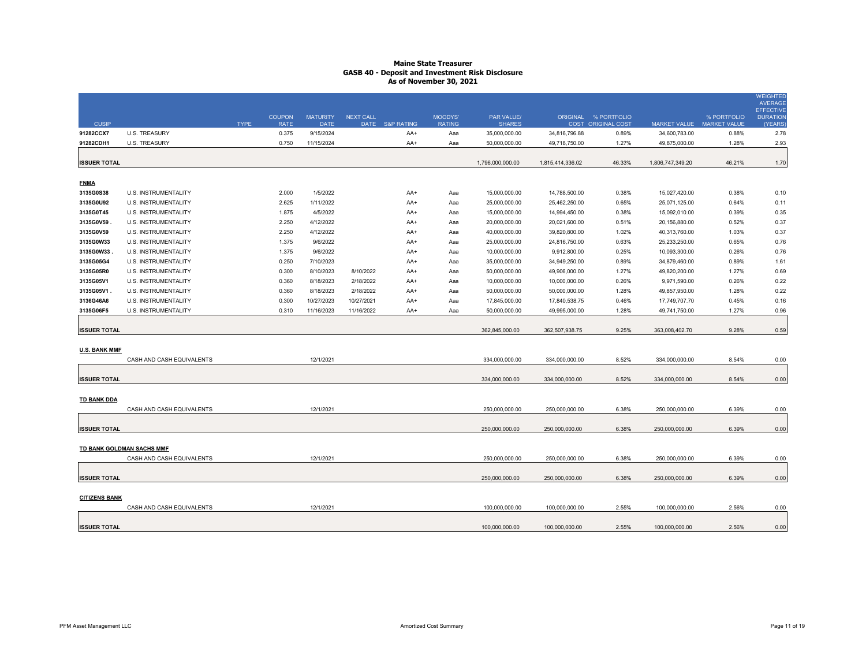|                      |                             |             | <b>COUPON</b> | <b>MATURITY</b> | <b>NEXT CALL</b> |                 | MOODYS'       | <b>PAR VALUE/</b> | <b>ORIGINAL</b>  | % PORTFOLIO               |                     | % PORTFOLIO         | <b>WEIGHTED</b><br><b>AVERAGE</b><br><b>EFFECTIVE</b><br><b>DURATION</b> |
|----------------------|-----------------------------|-------------|---------------|-----------------|------------------|-----------------|---------------|-------------------|------------------|---------------------------|---------------------|---------------------|--------------------------------------------------------------------------|
| <b>CUSIP</b>         |                             | <b>TYPE</b> | <b>RATE</b>   | <b>DATE</b>     |                  | DATE S&P RATING | <b>RATING</b> | <b>SHARES</b>     |                  | <b>COST ORIGINAL COST</b> | <b>MARKET VALUE</b> | <b>MARKET VALUE</b> | (YEARS)                                                                  |
| 91282CCX7            | <b>U.S. TREASURY</b>        |             | 0.375         | 9/15/2024       |                  | AA+             | Aaa           | 35,000,000.00     | 34,816,796.88    | 0.89%                     | 34,600,783.00       | 0.88%               | 2.78                                                                     |
| 91282CDH1            | <b>U.S. TREASURY</b>        |             | 0.750         | 11/15/2024      |                  | AA+             | Aaa           | 50,000,000.00     | 49,718,750.00    | 1.27%                     | 49,875,000.00       | 1.28%               | 2.93                                                                     |
|                      |                             |             |               |                 |                  |                 |               |                   |                  |                           |                     |                     |                                                                          |
| <b>ISSUER TOTAL</b>  |                             |             |               |                 |                  |                 |               | 1,796,000,000.00  | 1,815,414,336.02 | 46.33%                    | 1,806,747,349.20    | 46.21%              | 1.70                                                                     |
|                      |                             |             |               |                 |                  |                 |               |                   |                  |                           |                     |                     |                                                                          |
| <b>FNMA</b>          |                             |             |               |                 |                  |                 |               |                   |                  |                           |                     |                     |                                                                          |
| 3135G0S38            | U.S. INSTRUMENTALITY        |             | 2.000         | 1/5/2022        |                  | AA+             | Aaa           | 15,000,000.00     | 14,788,500.00    | 0.38%                     | 15,027,420.00       | 0.38%               | 0.10                                                                     |
| 3135G0U92            | U.S. INSTRUMENTALITY        |             | 2.625         | 1/11/2022       |                  | AA+             | Aaa           | 25,000,000.00     | 25,462,250.00    | 0.65%                     | 25,071,125.00       | 0.64%               | 0.11                                                                     |
| 3135G0T45            | U.S. INSTRUMENTALITY        |             | 1.875         | 4/5/2022        |                  | AA+             | Aaa           | 15,000,000.00     | 14,994,450.00    | 0.38%                     | 15,092,010.00       | 0.39%               | 0.35                                                                     |
| 3135G0V59.           | U.S. INSTRUMENTALITY        |             | 2.250         | 4/12/2022       |                  | AA+             | Aaa           | 20,000,000.00     | 20,021,600.00    | 0.51%                     | 20,156,880.00       | 0.52%               | 0.37                                                                     |
| 3135G0V59            | <b>U.S. INSTRUMENTALITY</b> |             | 2.250         | 4/12/2022       |                  | AA+             | Aaa           | 40,000,000.00     | 39,820,800.00    | 1.02%                     | 40,313,760.00       | 1.03%               | 0.37                                                                     |
| 3135G0W33            | U.S. INSTRUMENTALITY        |             | 1.375         | 9/6/2022        |                  | AA+             | Aaa           | 25,000,000.00     | 24,816,750.00    | 0.63%                     | 25,233,250.00       | 0.65%               | 0.76                                                                     |
| 3135G0W33            | U.S. INSTRUMENTALITY        |             | 1.375         | 9/6/2022        |                  | AA+             | Aaa           | 10,000,000.00     | 9,912,800.00     | 0.25%                     | 10,093,300.00       | 0.26%               | 0.76                                                                     |
| 3135G05G4            | U.S. INSTRUMENTALITY        |             | 0.250         | 7/10/2023       |                  | AA+             | Aaa           | 35,000,000.00     | 34,949,250.00    | 0.89%                     | 34,879,460.00       | 0.89%               | 1.61                                                                     |
| 3135G05R0            | U.S. INSTRUMENTALITY        |             | 0.300         | 8/10/2023       | 8/10/2022        | AA+             | Aaa           | 50,000,000.00     | 49,906,000.00    | 1.27%                     | 49,820,200.00       | 1.27%               | 0.69                                                                     |
| 3135G05V1            | U.S. INSTRUMENTALITY        |             | 0.360         | 8/18/2023       | 2/18/2022        | AA+             | Aaa           | 10,000,000.00     | 10,000,000.00    | 0.26%                     | 9,971,590.00        | 0.26%               | 0.22                                                                     |
| 3135G05V1.           | U.S. INSTRUMENTALITY        |             | 0.360         | 8/18/2023       | 2/18/2022        | AA+             | Aaa           | 50,000,000.00     | 50,000,000.00    | 1.28%                     | 49,857,950.00       | 1.28%               | 0.22                                                                     |
| 3136G46A6            | <b>U.S. INSTRUMENTALITY</b> |             | 0.300         | 10/27/2023      | 10/27/2021       | AA+             | Aaa           | 17,845,000.00     | 17,840,538.75    | 0.46%                     | 17,749,707.70       | 0.45%               | 0.16                                                                     |
| 3135G06F5            | <b>U.S. INSTRUMENTALITY</b> |             | 0.310         | 11/16/2023      | 11/16/2022       | AA+             | Aaa           | 50,000,000.00     | 49,995,000.00    | 1.28%                     | 49,741,750.00       | 1.27%               | 0.96                                                                     |
| <b>ISSUER TOTAL</b>  |                             |             |               |                 |                  |                 |               | 362,845,000.00    | 362,507,938.75   | 9.25%                     | 363,008,402.70      | 9.28%               | 0.59                                                                     |
| <b>U.S. BANK MMF</b> | CASH AND CASH EQUIVALENTS   |             |               | 12/1/2021       |                  |                 |               | 334,000,000.00    | 334,000,000.00   | 8.52%                     | 334,000,000.00      | 8.54%               | 0.00                                                                     |
| <b>ISSUER TOTAL</b>  |                             |             |               |                 |                  |                 |               | 334,000,000.00    | 334,000,000.00   | 8.52%                     | 334,000,000.00      | 8.54%               | 0.00                                                                     |
|                      |                             |             |               |                 |                  |                 |               |                   |                  |                           |                     |                     |                                                                          |
| <b>TD BANK DDA</b>   |                             |             |               |                 |                  |                 |               |                   |                  |                           |                     |                     |                                                                          |
|                      | CASH AND CASH EQUIVALENTS   |             |               | 12/1/2021       |                  |                 |               | 250,000,000.00    | 250,000,000.00   | 6.38%                     | 250,000,000.00      | 6.39%               | 0.00                                                                     |
| <b>ISSUER TOTAL</b>  |                             |             |               |                 |                  |                 |               | 250,000,000.00    | 250,000,000.00   | 6.38%                     | 250,000,000.00      | 6.39%               | 0.00                                                                     |
|                      | TD BANK GOLDMAN SACHS MMF   |             |               |                 |                  |                 |               |                   |                  |                           |                     |                     |                                                                          |
|                      | CASH AND CASH EQUIVALENTS   |             |               | 12/1/2021       |                  |                 |               | 250,000,000.00    | 250,000,000.00   | 6.38%                     | 250,000,000.00      | 6.39%               | 0.00                                                                     |
| <b>ISSUER TOTAL</b>  |                             |             |               |                 |                  |                 |               | 250,000,000.00    | 250,000,000.00   | 6.38%                     | 250,000,000.00      | 6.39%               | 0.00                                                                     |
| <b>CITIZENS BANK</b> |                             |             |               |                 |                  |                 |               |                   |                  |                           |                     |                     |                                                                          |
|                      | CASH AND CASH EQUIVALENTS   |             |               | 12/1/2021       |                  |                 |               | 100,000,000.00    | 100,000,000.00   | 2.55%                     | 100,000,000.00      | 2.56%               | 0.00                                                                     |
| <b>ISSUER TOTAL</b>  |                             |             |               |                 |                  |                 |               | 100,000,000.00    | 100,000,000.00   | 2.55%                     | 100,000,000.00      | 2.56%               | 0.00                                                                     |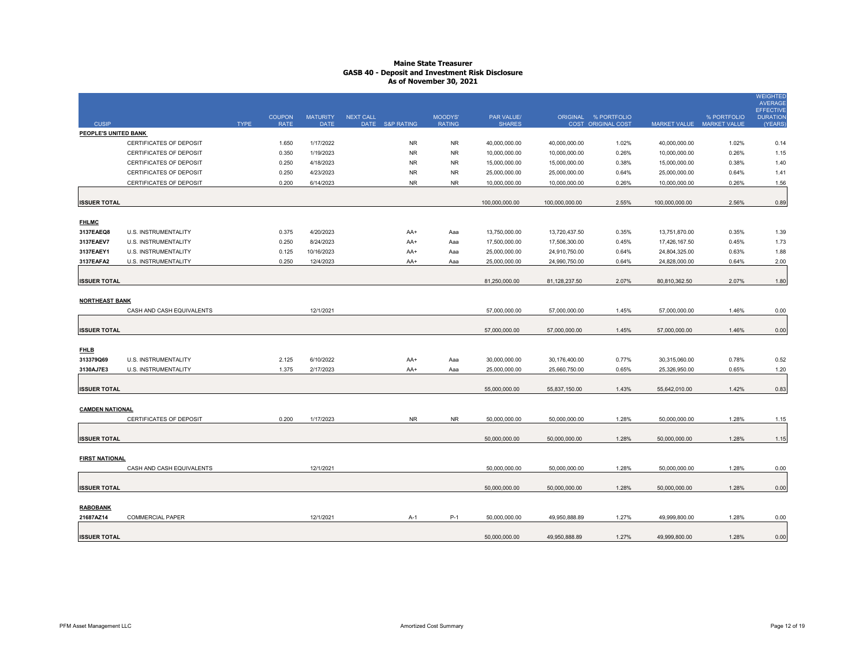| <b>CUSIP</b>           |                                | <b>TYPE</b> | <b>COUPON</b><br><b>RATE</b> | <b>MATURITY</b><br><b>DATE</b> | <b>NEXT CALL</b> | DATE S&P RATING | MOODYS'<br><b>RATING</b> | <b>PAR VALUE/</b><br><b>SHARES</b> | <b>ORIGINAL</b> | % PORTFOLIO<br>COST ORIGINAL COST | <b>MARKET VALUE</b> | % PORTFOLIO<br><b>MARKET VALUE</b> | <b>WEIGHTED</b><br><b>AVERAGE</b><br><b>EFFECTIVE</b><br><b>DURATION</b><br>(YEARS) |
|------------------------|--------------------------------|-------------|------------------------------|--------------------------------|------------------|-----------------|--------------------------|------------------------------------|-----------------|-----------------------------------|---------------------|------------------------------------|-------------------------------------------------------------------------------------|
| PEOPLE'S UNITED BANK   |                                |             |                              |                                |                  |                 |                          |                                    |                 |                                   |                     |                                    |                                                                                     |
|                        | CERTIFICATES OF DEPOSIT        |             | 1.650                        | 1/17/2022                      |                  | <b>NR</b>       | <b>NR</b>                | 40,000,000.00                      | 40,000,000.00   | 1.02%                             | 40,000,000.00       | 1.02%                              | 0.14                                                                                |
|                        | <b>CERTIFICATES OF DEPOSIT</b> |             | 0.350                        | 1/19/2023                      |                  | <b>NR</b>       | <b>NR</b>                | 10,000,000.00                      | 10,000,000.00   | 0.26%                             | 10,000,000.00       | 0.26%                              | 1.15                                                                                |
|                        | <b>CERTIFICATES OF DEPOSIT</b> |             | 0.250                        | 4/18/2023                      |                  | <b>NR</b>       | <b>NR</b>                | 15,000,000.00                      | 15,000,000.00   | 0.38%                             | 15,000,000.00       | 0.38%                              | 1.40                                                                                |
|                        | <b>CERTIFICATES OF DEPOSIT</b> |             | 0.250                        | 4/23/2023                      |                  | <b>NR</b>       | <b>NR</b>                | 25,000,000.00                      | 25,000,000.00   | 0.64%                             | 25,000,000.00       | 0.64%                              | 1.41                                                                                |
|                        | <b>CERTIFICATES OF DEPOSIT</b> |             | 0.200                        | 6/14/2023                      |                  | <b>NR</b>       | <b>NR</b>                | 10,000,000.00                      | 10,000,000.00   | 0.26%                             | 10,000,000.00       | 0.26%                              | 1.56                                                                                |
| <b>ISSUER TOTAL</b>    |                                |             |                              |                                |                  |                 |                          | 100,000,000.00                     | 100,000,000.00  | 2.55%                             | 100,000,000.00      | 2.56%                              | 0.89                                                                                |
| <b>FHLMC</b>           |                                |             |                              |                                |                  |                 |                          |                                    |                 |                                   |                     |                                    |                                                                                     |
| 3137EAEQ8              | <b>U.S. INSTRUMENTALITY</b>    |             | 0.375                        | 4/20/2023                      |                  | AA+             | Aaa                      | 13,750,000.00                      | 13,720,437.50   | 0.35%                             | 13,751,870.00       | 0.35%                              | 1.39                                                                                |
| 3137EAEV7              | <b>U.S. INSTRUMENTALITY</b>    |             | 0.250                        | 8/24/2023                      |                  | AA+             | Aaa                      | 17,500,000.00                      | 17,506,300.00   | 0.45%                             | 17,426,167.50       | 0.45%                              | 1.73                                                                                |
| 3137EAEY1              | U.S. INSTRUMENTALITY           |             | 0.125                        | 10/16/2023                     |                  | AA+             | Aaa                      | 25,000,000.00                      | 24,910,750.00   | 0.64%                             | 24,804,325.00       | 0.63%                              | 1.88                                                                                |
| 3137EAFA2              | U.S. INSTRUMENTALITY           |             | 0.250                        | 12/4/2023                      |                  | AA+             | Aaa                      | 25,000,000.00                      | 24,990,750.00   | 0.64%                             | 24,828,000.00       | 0.64%                              | 2.00                                                                                |
| <b>ISSUER TOTAL</b>    |                                |             |                              |                                |                  |                 |                          | 81,250,000.00                      | 81,128,237.50   | 2.07%                             | 80,810,362.50       | 2.07%                              | 1.80                                                                                |
| <b>NORTHEAST BANK</b>  |                                |             |                              |                                |                  |                 |                          |                                    |                 |                                   |                     |                                    |                                                                                     |
|                        | CASH AND CASH EQUIVALENTS      |             |                              | 12/1/2021                      |                  |                 |                          | 57,000,000.00                      | 57,000,000.00   | 1.45%                             | 57,000,000.00       | 1.46%                              | 0.00                                                                                |
| <b>ISSUER TOTAL</b>    |                                |             |                              |                                |                  |                 |                          | 57,000,000.00                      | 57,000,000.00   | 1.45%                             | 57,000,000.00       | 1.46%                              | 0.00                                                                                |
| <b>FHLB</b>            |                                |             |                              |                                |                  |                 |                          |                                    |                 |                                   |                     |                                    |                                                                                     |
| 313379Q69              | <b>U.S. INSTRUMENTALITY</b>    |             | 2.125                        | 6/10/2022                      |                  | AA+             | Aaa                      | 30,000,000.00                      | 30,176,400.00   | 0.77%                             | 30,315,060.00       | 0.78%                              | 0.52                                                                                |
| 3130AJ7E3              | U.S. INSTRUMENTALITY           |             | 1.375                        | 2/17/2023                      |                  | AA+             | Aaa                      | 25,000,000.00                      | 25,660,750.00   | 0.65%                             | 25,326,950.00       | 0.65%                              | 1.20                                                                                |
| <b>ISSUER TOTAL</b>    |                                |             |                              |                                |                  |                 |                          | 55,000,000.00                      | 55,837,150.00   | 1.43%                             | 55,642,010.00       | 1.42%                              | 0.83                                                                                |
| <b>CAMDEN NATIONAL</b> |                                |             |                              |                                |                  |                 |                          |                                    |                 |                                   |                     |                                    |                                                                                     |
|                        | <b>CERTIFICATES OF DEPOSIT</b> |             | 0.200                        | 1/17/2023                      |                  | <b>NR</b>       | <b>NR</b>                | 50,000,000.00                      | 50,000,000.00   | 1.28%                             | 50,000,000.00       | 1.28%                              | 1.15                                                                                |
| <b>ISSUER TOTAL</b>    |                                |             |                              |                                |                  |                 |                          | 50,000,000.00                      | 50,000,000.00   | 1.28%                             | 50,000,000.00       | 1.28%                              | 1.15                                                                                |
| <b>FIRST NATIONAL</b>  |                                |             |                              |                                |                  |                 |                          |                                    |                 |                                   |                     |                                    |                                                                                     |
|                        | CASH AND CASH EQUIVALENTS      |             |                              | 12/1/2021                      |                  |                 |                          | 50,000,000.00                      | 50,000,000.00   | 1.28%                             | 50,000,000.00       | 1.28%                              | 0.00                                                                                |
| <b>ISSUER TOTAL</b>    |                                |             |                              |                                |                  |                 |                          | 50,000,000.00                      | 50,000,000.00   | 1.28%                             | 50,000,000.00       | 1.28%                              | 0.00                                                                                |
| <b>RABOBANK</b>        |                                |             |                              |                                |                  |                 |                          |                                    |                 |                                   |                     |                                    |                                                                                     |
| 21687AZ14              | <b>COMMERCIAL PAPER</b>        |             |                              | 12/1/2021                      |                  | $A-1$           | $P-1$                    | 50,000,000.00                      | 49,950,888.89   | 1.27%                             | 49,999,800.00       | 1.28%                              | 0.00                                                                                |
| <b>ISSUER TOTAL</b>    |                                |             |                              |                                |                  |                 |                          | 50,000,000.00                      | 49,950,888.89   | 1.27%                             | 49,999,800.00       | 1.28%                              | 0.00                                                                                |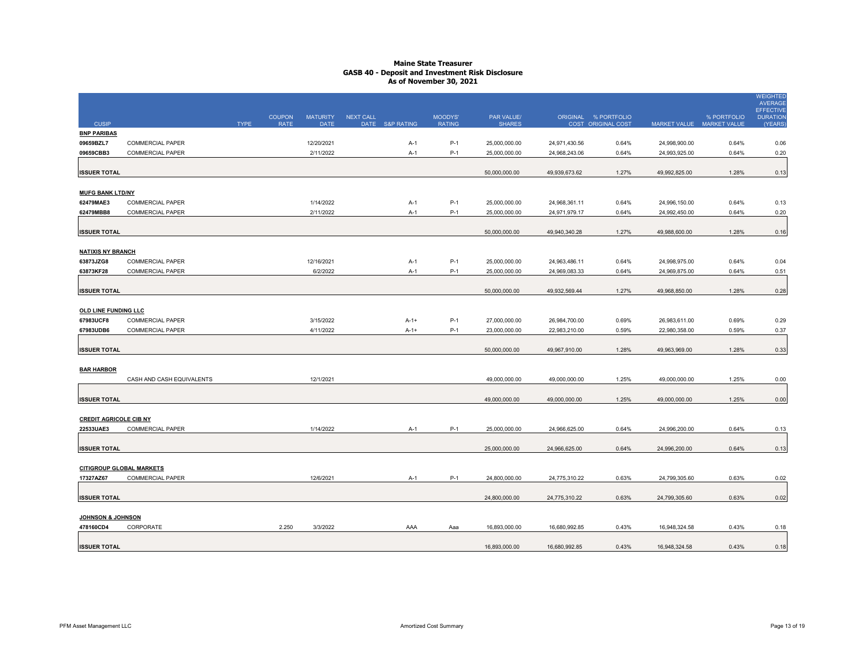|                               |                                                    |             | <b>COUPON</b> | <b>MATURITY</b>         | <b>NEXT CALL</b> |                 | MOODYS'        | <b>PAR VALUE/</b> |               | ORIGINAL % PORTFOLIO |                     | % PORTFOLIO         | <b>WEIGHTED</b><br><b>AVERAGE</b><br><b>EFFECTIVE</b><br><b>DURATION</b> |
|-------------------------------|----------------------------------------------------|-------------|---------------|-------------------------|------------------|-----------------|----------------|-------------------|---------------|----------------------|---------------------|---------------------|--------------------------------------------------------------------------|
| <b>CUSIP</b>                  |                                                    | <b>TYPE</b> | <b>RATE</b>   | <b>DATE</b>             |                  | DATE S&P RATING | <b>RATING</b>  | <b>SHARES</b>     |               | COST ORIGINAL COST   | <b>MARKET VALUE</b> | <b>MARKET VALUE</b> | (YEARS)                                                                  |
| <b>BNP PARIBAS</b>            |                                                    |             |               |                         |                  |                 |                |                   |               |                      |                     |                     |                                                                          |
| 09659BZL7                     | <b>COMMERCIAL PAPER</b><br><b>COMMERCIAL PAPER</b> |             |               | 12/20/2021<br>2/11/2022 |                  | $A-1$           | $P-1$<br>$P-1$ | 25,000,000.00     | 24,971,430.56 | 0.64%<br>0.64%       | 24,998,900.00       | 0.64%<br>0.64%      | 0.06                                                                     |
| 09659CBB3                     |                                                    |             |               |                         |                  | $A-1$           |                | 25,000,000.00     | 24,968,243.06 |                      | 24,993,925.00       |                     | 0.20                                                                     |
| <b>ISSUER TOTAL</b>           |                                                    |             |               |                         |                  |                 |                | 50,000,000.00     | 49,939,673.62 | 1.27%                | 49,992,825.00       | 1.28%               | 0.13                                                                     |
| <b>MUFG BANK LTD/NY</b>       |                                                    |             |               |                         |                  |                 |                |                   |               |                      |                     |                     |                                                                          |
| 62479MAE3                     | <b>COMMERCIAL PAPER</b>                            |             |               | 1/14/2022               |                  | $A-1$           | $P-1$          | 25,000,000.00     | 24,968,361.11 | 0.64%                | 24,996,150.00       | 0.64%               | 0.13                                                                     |
| 62479MBB8                     | <b>COMMERCIAL PAPER</b>                            |             |               | 2/11/2022               |                  | $A-1$           | $P-1$          | 25,000,000.00     | 24,971,979.17 | 0.64%                | 24,992,450.00       | 0.64%               | 0.20                                                                     |
| <b>ISSUER TOTAL</b>           |                                                    |             |               |                         |                  |                 |                | 50,000,000.00     | 49,940,340.28 | 1.27%                | 49,988,600.00       | 1.28%               | 0.16                                                                     |
| <b>NATIXIS NY BRANCH</b>      |                                                    |             |               |                         |                  |                 |                |                   |               |                      |                     |                     |                                                                          |
| 63873JZG8                     | <b>COMMERCIAL PAPER</b>                            |             |               | 12/16/2021              |                  | $A-1$           | $P-1$          | 25,000,000.00     | 24,963,486.11 | 0.64%                | 24,998,975.00       | 0.64%               | 0.04                                                                     |
| 63873KF28                     | <b>COMMERCIAL PAPER</b>                            |             |               | 6/2/2022                |                  | $A-1$           | $P-1$          | 25,000,000.00     | 24,969,083.33 | 0.64%                | 24,969,875.00       | 0.64%               | 0.51                                                                     |
| <b>ISSUER TOTAL</b>           |                                                    |             |               |                         |                  |                 |                | 50,000,000.00     | 49,932,569.44 | 1.27%                | 49,968,850.00       | 1.28%               | 0.28                                                                     |
| <b>OLD LINE FUNDING LLC</b>   |                                                    |             |               |                         |                  |                 |                |                   |               |                      |                     |                     |                                                                          |
| 67983UCF8                     | <b>COMMERCIAL PAPER</b>                            |             |               | 3/15/2022               |                  | $A-1+$          | $P-1$          | 27,000,000.00     | 26,984,700.00 | 0.69%                | 26,983,611.00       | 0.69%               | 0.29                                                                     |
| 67983UDB6                     | <b>COMMERCIAL PAPER</b>                            |             |               | 4/11/2022               |                  | $A-1+$          | $P-1$          | 23,000,000.00     | 22,983,210.00 | 0.59%                | 22,980,358.00       | 0.59%               | 0.37                                                                     |
| <b>ISSUER TOTAL</b>           |                                                    |             |               |                         |                  |                 |                | 50,000,000.00     | 49,967,910.00 | 1.28%                | 49,963,969.00       | 1.28%               | 0.33                                                                     |
| <b>BAR HARBOR</b>             |                                                    |             |               |                         |                  |                 |                |                   |               |                      |                     |                     |                                                                          |
|                               | CASH AND CASH EQUIVALENTS                          |             |               | 12/1/2021               |                  |                 |                | 49,000,000.00     | 49,000,000.00 | 1.25%                | 49,000,000.00       | 1.25%               | 0.00                                                                     |
| <b>ISSUER TOTAL</b>           |                                                    |             |               |                         |                  |                 |                | 49,000,000.00     | 49,000,000.00 | 1.25%                | 49,000,000.00       | 1.25%               | 0.00                                                                     |
| <b>CREDIT AGRICOLE CIB NY</b> |                                                    |             |               |                         |                  |                 |                |                   |               |                      |                     |                     |                                                                          |
| 22533UAE3                     | <b>COMMERCIAL PAPER</b>                            |             |               | 1/14/2022               |                  | $A-1$           | $P-1$          | 25,000,000.00     | 24,966,625.00 | 0.64%                | 24,996,200.00       | 0.64%               | 0.13                                                                     |
| <b>ISSUER TOTAL</b>           |                                                    |             |               |                         |                  |                 |                | 25,000,000.00     | 24,966,625.00 | 0.64%                | 24,996,200.00       | 0.64%               | 0.13                                                                     |
|                               | <b>CITIGROUP GLOBAL MARKETS</b>                    |             |               |                         |                  |                 |                |                   |               |                      |                     |                     |                                                                          |
| 17327AZ67                     | <b>COMMERCIAL PAPER</b>                            |             |               | 12/6/2021               |                  | $A-1$           | $P-1$          | 24,800,000.00     | 24,775,310.22 | 0.63%                | 24,799,305.60       | 0.63%               | 0.02                                                                     |
| <b>ISSUER TOTAL</b>           |                                                    |             |               |                         |                  |                 |                | 24,800,000.00     | 24,775,310.22 | 0.63%                | 24,799,305.60       | 0.63%               | 0.02                                                                     |
| <b>JOHNSON &amp; JOHNSON</b>  |                                                    |             |               |                         |                  |                 |                |                   |               |                      |                     |                     |                                                                          |
| 478160CD4                     | CORPORATE                                          |             | 2.250         | 3/3/2022                |                  | AAA             | Aaa            | 16,893,000.00     | 16,680,992.85 | 0.43%                | 16,948,324.58       | 0.43%               | 0.18                                                                     |
| <b>ISSUER TOTAL</b>           |                                                    |             |               |                         |                  |                 |                | 16,893,000.00     | 16,680,992.85 | 0.43%                | 16,948,324.58       | 0.43%               | 0.18                                                                     |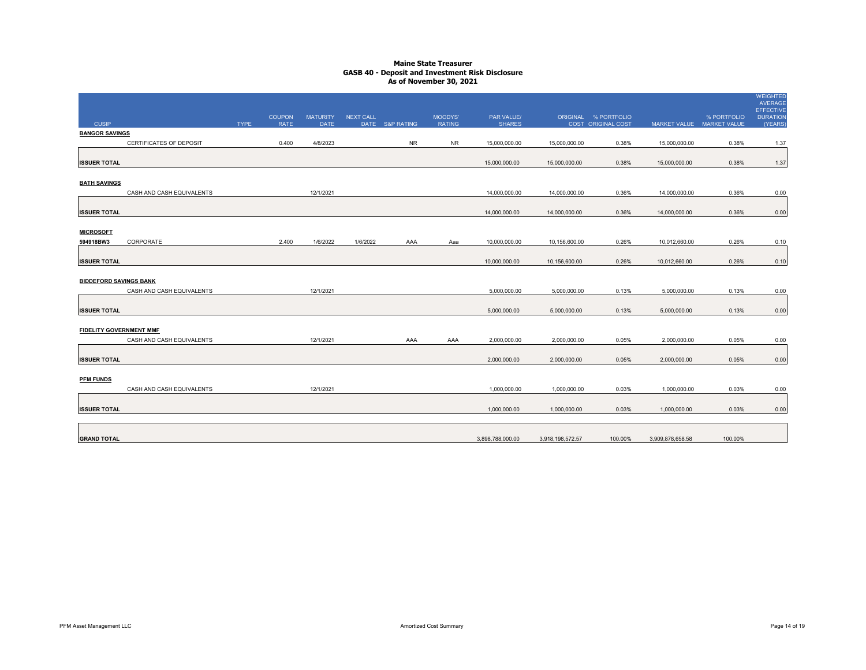|                                       |                           |             | <b>COUPON</b> | <b>MATURITY</b> | <b>NEXT CALL</b> |                 | MOODYS'       | PAR VALUE/       |                  | ORIGINAL % PORTFOLIO |                     | % PORTFOLIO         | <b>WEIGHTED</b><br><b>AVERAGE</b><br><b>EFFECTIVE</b><br><b>DURATION</b> |
|---------------------------------------|---------------------------|-------------|---------------|-----------------|------------------|-----------------|---------------|------------------|------------------|----------------------|---------------------|---------------------|--------------------------------------------------------------------------|
| <b>CUSIP</b><br><b>BANGOR SAVINGS</b> |                           | <b>TYPE</b> | <b>RATE</b>   | <b>DATE</b>     |                  | DATE S&P RATING | <b>RATING</b> | <b>SHARES</b>    |                  | COST ORIGINAL COST   | <b>MARKET VALUE</b> | <b>MARKET VALUE</b> | (YEARS)                                                                  |
|                                       | CERTIFICATES OF DEPOSIT   |             | 0.400         | 4/8/2023        |                  | <b>NR</b>       | <b>NR</b>     | 15,000,000.00    | 15,000,000.00    | 0.38%                | 15,000,000.00       | 0.38%               | 1.37                                                                     |
|                                       |                           |             |               |                 |                  |                 |               |                  |                  |                      |                     |                     |                                                                          |
| <b>ISSUER TOTAL</b>                   |                           |             |               |                 |                  |                 |               | 15,000,000.00    | 15,000,000.00    | 0.38%                | 15,000,000.00       | 0.38%               | 1.37                                                                     |
| <b>BATH SAVINGS</b>                   |                           |             |               |                 |                  |                 |               |                  |                  |                      |                     |                     |                                                                          |
|                                       | CASH AND CASH EQUIVALENTS |             |               | 12/1/2021       |                  |                 |               | 14,000,000.00    | 14,000,000.00    | 0.36%                | 14,000,000.00       | 0.36%               | 0.00                                                                     |
| <b>ISSUER TOTAL</b>                   |                           |             |               |                 |                  |                 |               | 14,000,000.00    | 14,000,000.00    | 0.36%                | 14,000,000.00       | 0.36%               | 0.00                                                                     |
| <b>MICROSOFT</b>                      |                           |             |               |                 |                  |                 |               |                  |                  |                      |                     |                     |                                                                          |
| 594918BW3                             | CORPORATE                 |             | 2.400         | 1/6/2022        | 1/6/2022         | AAA             | Aaa           | 10,000,000.00    | 10,156,600.00    | 0.26%                | 10,012,660.00       | 0.26%               | 0.10                                                                     |
| <b>ISSUER TOTAL</b>                   |                           |             |               |                 |                  |                 |               | 10,000,000.00    | 10,156,600.00    | 0.26%                | 10,012,660.00       | 0.26%               | 0.10                                                                     |
| <b>BIDDEFORD SAVINGS BANK</b>         |                           |             |               |                 |                  |                 |               |                  |                  |                      |                     |                     |                                                                          |
|                                       | CASH AND CASH EQUIVALENTS |             |               | 12/1/2021       |                  |                 |               | 5,000,000.00     | 5,000,000.00     | 0.13%                | 5,000,000.00        | 0.13%               | 0.00                                                                     |
| <b>ISSUER TOTAL</b>                   |                           |             |               |                 |                  |                 |               | 5,000,000.00     | 5,000,000.00     | 0.13%                | 5,000,000.00        | 0.13%               | 0.00                                                                     |
| <b>FIDELITY GOVERNMENT MMF</b>        |                           |             |               |                 |                  |                 |               |                  |                  |                      |                     |                     |                                                                          |
|                                       | CASH AND CASH EQUIVALENTS |             |               | 12/1/2021       |                  | AAA             | AAA           | 2,000,000.00     | 2,000,000.00     | 0.05%                | 2,000,000.00        | 0.05%               | 0.00                                                                     |
| <b>ISSUER TOTAL</b>                   |                           |             |               |                 |                  |                 |               | 2,000,000.00     | 2,000,000.00     | 0.05%                | 2,000,000.00        | 0.05%               | 0.00                                                                     |
| <b>PFM FUNDS</b>                      |                           |             |               |                 |                  |                 |               |                  |                  |                      |                     |                     |                                                                          |
|                                       | CASH AND CASH EQUIVALENTS |             |               | 12/1/2021       |                  |                 |               | 1,000,000.00     | 1,000,000.00     | 0.03%                | 1,000,000.00        | 0.03%               | 0.00                                                                     |
| <b>ISSUER TOTAL</b>                   |                           |             |               |                 |                  |                 |               | 1,000,000.00     | 1,000,000.00     | 0.03%                | 1,000,000.00        | 0.03%               | 0.00                                                                     |
| <b>GRAND TOTAL</b>                    |                           |             |               |                 |                  |                 |               | 3,898,788,000.00 | 3,918,198,572.57 | 100.00%              | 3,909,878,658.58    | 100.00%             |                                                                          |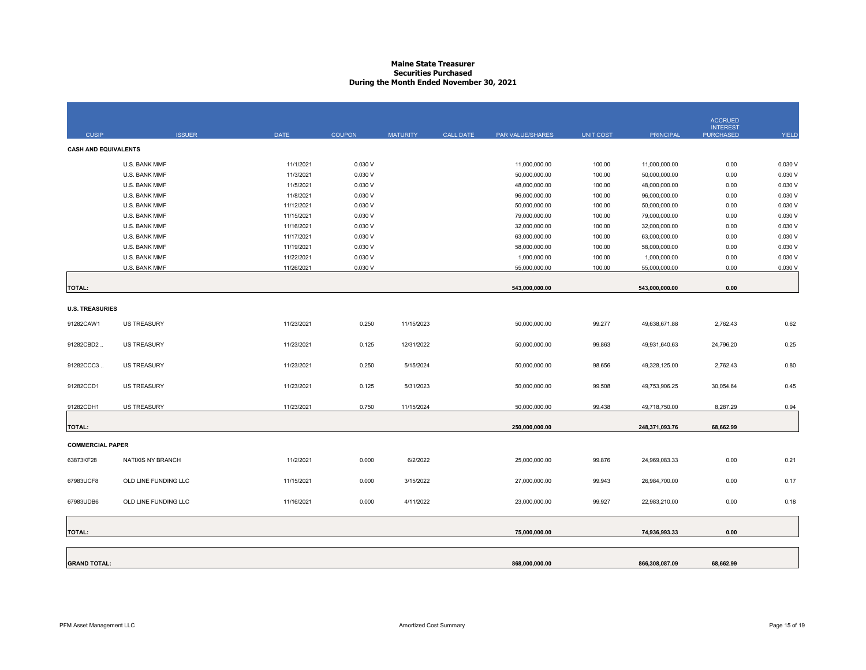# **Maine State Treasurer Securities Purchased During the Month Ended November 30, 2021**

| <b>CUSIP</b>                | <b>ISSUER</b>        | <b>DATE</b> | <b>COUPON</b> | <b>MATURITY</b> | <b>CALL DATE</b> | PAR VALUE/SHARES | <b>UNIT COST</b> | <b>PRINCIPAL</b> | <b>ACCRUED</b><br><b>INTEREST</b><br><b>PURCHASED</b> | <b>YIELD</b> |
|-----------------------------|----------------------|-------------|---------------|-----------------|------------------|------------------|------------------|------------------|-------------------------------------------------------|--------------|
| <b>CASH AND EQUIVALENTS</b> |                      |             |               |                 |                  |                  |                  |                  |                                                       |              |
|                             | U.S. BANK MMF        | 11/1/2021   | 0.030V        |                 |                  | 11,000,000.00    | 100.00           | 11,000,000.00    | 0.00                                                  | 0.030 V      |
|                             | U.S. BANK MMF        | 11/3/2021   | 0.030 V       |                 |                  | 50,000,000.00    | 100.00           | 50,000,000.00    | 0.00                                                  | 0.030 V      |
|                             | U.S. BANK MMF        | 11/5/2021   | 0.030 V       |                 |                  | 48,000,000.00    | 100.00           | 48,000,000.00    | 0.00                                                  | 0.030 V      |
|                             | U.S. BANK MMF        | 11/8/2021   | 0.030V        |                 |                  | 96,000,000.00    | 100.00           | 96,000,000.00    | 0.00                                                  | 0.030 V      |
|                             | U.S. BANK MMF        | 11/12/2021  | 0.030 V       |                 |                  | 50,000,000.00    | 100.00           | 50,000,000.00    | 0.00                                                  | 0.030 V      |
|                             | U.S. BANK MMF        | 11/15/2021  | 0.030V        |                 |                  | 79,000,000.00    | 100.00           | 79,000,000.00    | 0.00                                                  | 0.030 V      |
|                             | U.S. BANK MMF        | 11/16/2021  | 0.030 V       |                 |                  | 32,000,000.00    | 100.00           | 32,000,000.00    | 0.00                                                  | 0.030 V      |
|                             | U.S. BANK MMF        | 11/17/2021  | 0.030 V       |                 |                  | 63,000,000.00    | 100.00           | 63,000,000.00    | 0.00                                                  | 0.030 V      |
|                             | U.S. BANK MMF        | 11/19/2021  | 0.030 V       |                 |                  | 58,000,000.00    | 100.00           | 58,000,000.00    | 0.00                                                  | 0.030 V      |
|                             | U.S. BANK MMF        | 11/22/2021  | 0.030 V       |                 |                  | 1,000,000.00     | 100.00           | 1,000,000.00     | 0.00                                                  | 0.030 V      |
|                             | U.S. BANK MMF        | 11/26/2021  | 0.030 V       |                 |                  | 55,000,000.00    | 100.00           | 55,000,000.00    | 0.00                                                  | 0.030 V      |
| <b>TOTAL:</b>               |                      |             |               |                 |                  | 543,000,000.00   |                  | 543,000,000.00   | 0.00                                                  |              |
| <b>U.S. TREASURIES</b>      |                      |             |               |                 |                  |                  |                  |                  |                                                       |              |
|                             |                      |             |               |                 |                  |                  |                  |                  |                                                       |              |
| 91282CAW1                   | US TREASURY          | 11/23/2021  | 0.250         | 11/15/2023      |                  | 50,000,000.00    | 99.277           | 49,638,671.88    | 2,762.43                                              | 0.62         |
| 91282CBD2                   | <b>US TREASURY</b>   | 11/23/2021  | 0.125         | 12/31/2022      |                  | 50,000,000.00    | 99.863           | 49,931,640.63    | 24,796.20                                             | 0.25         |
| 91282CCC3.                  | <b>US TREASURY</b>   | 11/23/2021  | 0.250         | 5/15/2024       |                  | 50,000,000.00    | 98.656           | 49,328,125.00    | 2,762.43                                              | 0.80         |
| 91282CCD1                   | <b>US TREASURY</b>   | 11/23/2021  | 0.125         | 5/31/2023       |                  | 50,000,000.00    | 99.508           | 49,753,906.25    | 30,054.64                                             | 0.45         |
| 91282CDH1                   | <b>US TREASURY</b>   | 11/23/2021  | 0.750         | 11/15/2024      |                  | 50,000,000.00    | 99.438           | 49,718,750.00    | 8,287.29                                              | 0.94         |
| <b>TOTAL:</b>               |                      |             |               |                 |                  | 250,000,000.00   |                  | 248,371,093.76   | 68,662.99                                             |              |
| <b>COMMERCIAL PAPER</b>     |                      |             |               |                 |                  |                  |                  |                  |                                                       |              |
| 63873KF28                   | NATIXIS NY BRANCH    | 11/2/2021   | 0.000         | 6/2/2022        |                  | 25,000,000.00    | 99.876           | 24,969,083.33    | 0.00                                                  | 0.21         |
| 67983UCF8                   | OLD LINE FUNDING LLC | 11/15/2021  | 0.000         | 3/15/2022       |                  | 27,000,000.00    | 99.943           | 26,984,700.00    | 0.00                                                  | 0.17         |
| 67983UDB6                   | OLD LINE FUNDING LLC | 11/16/2021  | 0.000         | 4/11/2022       |                  | 23,000,000.00    | 99.927           | 22,983,210.00    | 0.00                                                  | 0.18         |
| <b>TOTAL:</b>               |                      |             |               |                 |                  | 75,000,000.00    |                  | 74,936,993.33    | 0.00                                                  |              |
|                             |                      |             |               |                 |                  |                  |                  |                  |                                                       |              |
| <b>GRAND TOTAL:</b>         |                      |             |               |                 |                  | 868,000,000.00   |                  | 866,308,087.09   | 68,662.99                                             |              |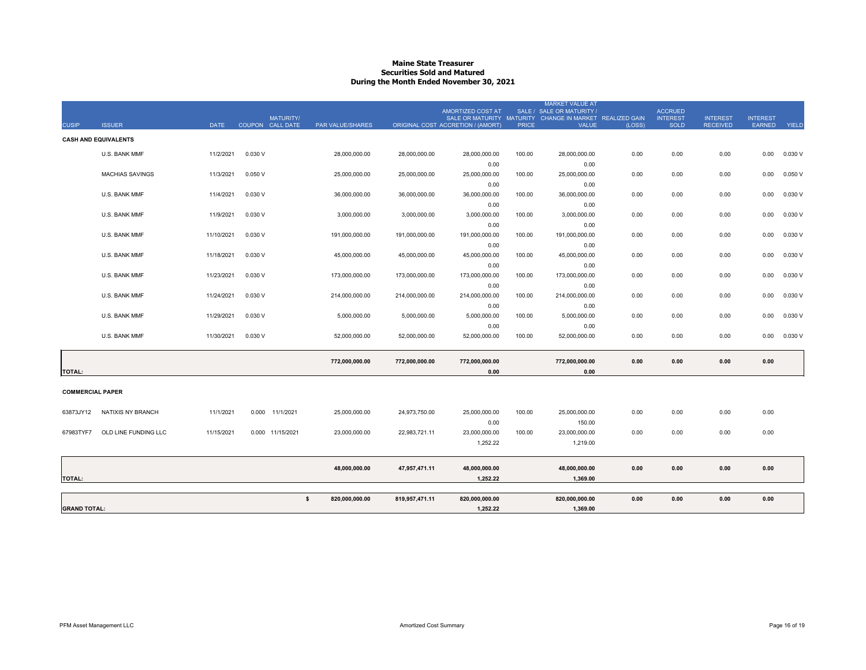# **Maine State Treasurer Securities Sold and Matured During the Month Ended November 30, 2021**

|                         |                             |             |                    |                      |                |                                   |              | <b>MARKET VALUE AT</b>                                                                |        |                                   |                 |                 |         |
|-------------------------|-----------------------------|-------------|--------------------|----------------------|----------------|-----------------------------------|--------------|---------------------------------------------------------------------------------------|--------|-----------------------------------|-----------------|-----------------|---------|
|                         |                             |             | <b>MATURITY/</b>   |                      |                | AMORTIZED COST AT                 |              | SALE / SALE OR MATURITY /<br>SALE OR MATURITY MATURITY CHANGE IN MARKET REALIZED GAIN |        | <b>ACCRUED</b><br><b>INTEREST</b> | <b>INTEREST</b> | <b>INTEREST</b> |         |
| <b>CUSIP</b>            | <b>ISSUER</b>               | <b>DATE</b> | COUPON CALL DATE   | PAR VALUE/SHARES     |                | ORIGINAL COST ACCRETION / (AMORT) | <b>PRICE</b> | <b>VALUE</b>                                                                          | (LOSS) | SOLD                              | <b>RECEIVED</b> | <b>EARNED</b>   | YIELD   |
|                         | <b>CASH AND EQUIVALENTS</b> |             |                    |                      |                |                                   |              |                                                                                       |        |                                   |                 |                 |         |
|                         |                             |             |                    |                      |                |                                   |              |                                                                                       |        |                                   |                 |                 |         |
|                         | <b>U.S. BANK MMF</b>        | 11/2/2021   | 0.030 V            | 28,000,000.00        | 28,000,000.00  | 28,000,000.00                     | 100.00       | 28,000,000.00                                                                         | 0.00   | 0.00                              | 0.00            | 0.00            | 0.030V  |
|                         |                             |             |                    |                      |                | 0.00                              |              | 0.00                                                                                  |        |                                   |                 |                 |         |
|                         | <b>MACHIAS SAVINGS</b>      | 11/3/2021   | 0.050V             | 25,000,000.00        | 25,000,000.00  | 25,000,000.00                     | 100.00       | 25,000,000.00                                                                         | 0.00   | 0.00                              | 0.00            | 0.00            | 0.050V  |
|                         |                             |             |                    |                      |                | 0.00                              |              | 0.00                                                                                  |        |                                   |                 |                 |         |
|                         | <b>U.S. BANK MMF</b>        | 11/4/2021   | 0.030V             | 36,000,000.00        | 36,000,000.00  | 36,000,000.00                     | 100.00       | 36,000,000.00                                                                         | 0.00   | 0.00                              | 0.00            | 0.00            | 0.030V  |
|                         |                             |             |                    |                      |                | 0.00                              |              | 0.00                                                                                  |        |                                   |                 |                 |         |
|                         | <b>U.S. BANK MMF</b>        | 11/9/2021   | 0.030V             | 3,000,000.00         | 3,000,000.00   | 3,000,000.00                      | 100.00       | 3,000,000.00                                                                          | 0.00   | 0.00                              | 0.00            | 0.00            | 0.030V  |
|                         |                             |             |                    |                      |                | 0.00                              |              | 0.00                                                                                  |        |                                   |                 |                 |         |
|                         | <b>U.S. BANK MMF</b>        | 11/10/2021  | 0.030V             | 191,000,000.00       | 191,000,000.00 | 191,000,000.00                    | 100.00       | 191,000,000.00                                                                        | 0.00   | 0.00                              | 0.00            | 0.00            | 0.030 V |
|                         |                             |             |                    |                      |                | 0.00                              |              | 0.00                                                                                  |        |                                   |                 |                 |         |
|                         | <b>U.S. BANK MMF</b>        | 11/18/2021  | 0.030 V            | 45,000,000.00        | 45,000,000.00  | 45,000,000.00                     | 100.00       | 45,000,000.00                                                                         | 0.00   | 0.00                              | 0.00            | 0.00            | 0.030V  |
|                         |                             |             |                    |                      |                | 0.00                              |              | 0.00                                                                                  |        |                                   |                 |                 |         |
|                         | <b>U.S. BANK MMF</b>        | 11/23/2021  | 0.030V             | 173,000,000.00       | 173,000,000.00 | 173,000,000.00                    | 100.00       | 173,000,000.00                                                                        | 0.00   | 0.00                              | 0.00            | 0.00            | 0.030 V |
|                         |                             |             |                    |                      |                | 0.00                              |              | 0.00                                                                                  |        |                                   |                 |                 |         |
|                         | <b>U.S. BANK MMF</b>        | 11/24/2021  | 0.030V             | 214,000,000.00       | 214,000,000.00 | 214,000,000.00                    | 100.00       | 214,000,000.00                                                                        | 0.00   | 0.00                              | 0.00            | 0.00            | 0.030V  |
|                         |                             |             |                    |                      |                | 0.00                              |              | 0.00                                                                                  |        |                                   |                 |                 |         |
|                         | <b>U.S. BANK MMF</b>        | 11/29/2021  | 0.030 V            | 5,000,000.00         | 5,000,000.00   | 5,000,000.00                      | 100.00       | 5,000,000.00                                                                          | 0.00   | 0.00                              | 0.00            | 0.00            | 0.030 V |
|                         |                             |             |                    |                      |                | 0.00                              |              | 0.00                                                                                  |        |                                   |                 |                 |         |
|                         | U.S. BANK MMF               | 11/30/2021  | 0.030V             | 52,000,000.00        | 52,000,000.00  | 52,000,000.00                     | 100.00       | 52,000,000.00                                                                         | 0.00   | 0.00                              | 0.00            | 0.00            | 0.030V  |
|                         |                             |             |                    | 772,000,000.00       | 772,000,000.00 | 772,000,000.00                    |              | 772,000,000.00                                                                        | 0.00   | 0.00                              | 0.00            | 0.00            |         |
| <b>TOTAL:</b>           |                             |             |                    |                      |                | 0.00                              |              | 0.00                                                                                  |        |                                   |                 |                 |         |
|                         |                             |             |                    |                      |                |                                   |              |                                                                                       |        |                                   |                 |                 |         |
| <b>COMMERCIAL PAPER</b> |                             |             |                    |                      |                |                                   |              |                                                                                       |        |                                   |                 |                 |         |
| 63873JY12               | <b>NATIXIS NY BRANCH</b>    | 11/1/2021   | 0.000<br>11/1/2021 | 25,000,000.00        | 24,973,750.00  | 25,000,000.00                     | 100.00       | 25,000,000.00                                                                         | 0.00   | 0.00                              | 0.00            | 0.00            |         |
|                         |                             |             |                    |                      |                |                                   |              |                                                                                       |        |                                   |                 |                 |         |
|                         | OLD LINE FUNDING LLC        | 11/15/2021  |                    |                      |                | 0.00                              |              | 150.00                                                                                |        |                                   |                 | 0.00            |         |
| 67983TYF7               |                             |             | 0.000 11/15/2021   | 23,000,000.00        | 22,983,721.11  | 23,000,000.00                     | 100.00       | 23,000,000.00                                                                         | 0.00   | 0.00                              | 0.00            |                 |         |
|                         |                             |             |                    |                      |                | 1,252.22                          |              | 1,219.00                                                                              |        |                                   |                 |                 |         |
|                         |                             |             |                    | 48,000,000.00        | 47,957,471.11  | 48,000,000.00                     |              | 48,000,000.00                                                                         | 0.00   | 0.00                              | 0.00            | 0.00            |         |
| <b>TOTAL:</b>           |                             |             |                    |                      |                | 1,252.22                          |              | 1,369.00                                                                              |        |                                   |                 |                 |         |
|                         |                             |             |                    |                      |                |                                   |              |                                                                                       |        |                                   |                 |                 |         |
|                         |                             |             |                    | 820,000,000.00<br>\$ | 819,957,471.11 | 820,000,000.00                    |              | 820,000,000.00                                                                        | 0.00   | 0.00                              | 0.00            | 0.00            |         |
| <b>GRAND TOTAL:</b>     |                             |             |                    |                      |                | 1,252.22                          |              | 1,369.00                                                                              |        |                                   |                 |                 |         |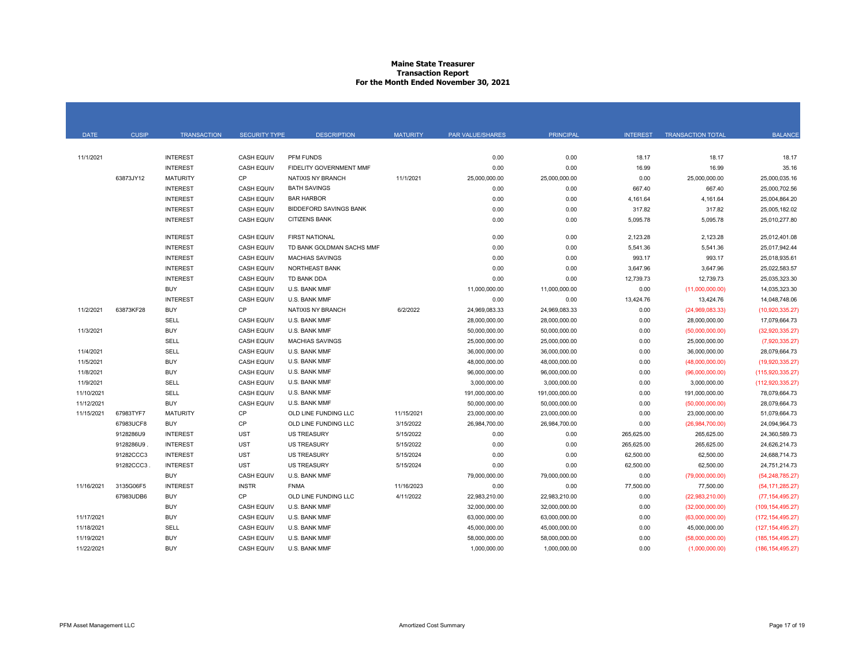# **Maine State Treasurer Transaction Report For the Month Ended November 30, 2021**

| <b>DATE</b> | <b>CUSIP</b> | <b>TRANSACTION</b> | <b>SECURITY TYPE</b> | <b>DESCRIPTION</b>            | <b>MATURITY</b> | PAR VALUE/SHARES | <b>PRINCIPAL</b> | <b>INTEREST</b> | <b>TRANSACTION TOTAL</b> | <b>BALANCE</b>     |
|-------------|--------------|--------------------|----------------------|-------------------------------|-----------------|------------------|------------------|-----------------|--------------------------|--------------------|
|             |              |                    |                      |                               |                 |                  |                  |                 |                          |                    |
| 11/1/2021   |              | <b>INTEREST</b>    | <b>CASH EQUIV</b>    | <b>PFM FUNDS</b>              |                 | 0.00             | 0.00             | 18.17           | 18.17                    | 18.17              |
|             |              | <b>INTEREST</b>    | <b>CASH EQUIV</b>    | FIDELITY GOVERNMENT MMF       |                 | 0.00             | 0.00             | 16.99           | 16.99                    | 35.16              |
|             | 63873JY12    | <b>MATURITY</b>    | CP                   | NATIXIS NY BRANCH             | 11/1/2021       | 25,000,000.00    | 25,000,000.00    | 0.00            | 25,000,000.00            | 25,000,035.16      |
|             |              | <b>INTEREST</b>    | <b>CASH EQUIV</b>    | <b>BATH SAVINGS</b>           |                 | 0.00             | 0.00             | 667.40          | 667.40                   | 25,000,702.56      |
|             |              | <b>INTEREST</b>    | <b>CASH EQUIV</b>    | <b>BAR HARBOR</b>             |                 | 0.00             | 0.00             | 4,161.64        | 4,161.64                 | 25,004,864.20      |
|             |              | <b>INTEREST</b>    | <b>CASH EQUIV</b>    | <b>BIDDEFORD SAVINGS BANK</b> |                 | 0.00             | 0.00             | 317.82          | 317.82                   | 25,005,182.02      |
|             |              | <b>INTEREST</b>    | <b>CASH EQUIV</b>    | <b>CITIZENS BANK</b>          |                 | 0.00             | 0.00             | 5,095.78        | 5,095.78                 | 25,010,277.80      |
|             |              | <b>INTEREST</b>    | <b>CASH EQUIV</b>    | <b>FIRST NATIONAL</b>         |                 | 0.00             | 0.00             | 2,123.28        | 2,123.28                 | 25,012,401.08      |
|             |              | <b>INTEREST</b>    | <b>CASH EQUIV</b>    | TD BANK GOLDMAN SACHS MMF     |                 | 0.00             | 0.00             | 5,541.36        | 5,541.36                 | 25,017,942.44      |
|             |              | <b>INTEREST</b>    | <b>CASH EQUIV</b>    | <b>MACHIAS SAVINGS</b>        |                 | 0.00             | 0.00             | 993.17          | 993.17                   | 25,018,935.61      |
|             |              | <b>INTEREST</b>    | <b>CASH EQUIV</b>    | <b>NORTHEAST BANK</b>         |                 | 0.00             | 0.00             | 3,647.96        | 3,647.96                 | 25,022,583.57      |
|             |              | <b>INTEREST</b>    | <b>CASH EQUIV</b>    | TD BANK DDA                   |                 | 0.00             | 0.00             | 12,739.73       | 12,739.73                | 25,035,323.30      |
|             |              | <b>BUY</b>         | <b>CASH EQUIV</b>    | U.S. BANK MMF                 |                 | 11,000,000.00    | 11,000,000.00    | 0.00            | (11,000,000.00)          | 14,035,323.30      |
|             |              | <b>INTEREST</b>    | <b>CASH EQUIV</b>    | U.S. BANK MMF                 |                 | 0.00             | 0.00             | 13,424.76       | 13,424.76                | 14,048,748.06      |
| 11/2/2021   | 63873KF28    | <b>BUY</b>         | CP                   | <b>NATIXIS NY BRANCH</b>      | 6/2/2022        | 24,969,083.33    | 24,969,083.33    | 0.00            | (24,969,083.33)          | (10,920,335.27)    |
|             |              | <b>SELL</b>        | <b>CASH EQUIV</b>    | U.S. BANK MMF                 |                 | 28,000,000.00    | 28,000,000.00    | 0.00            | 28,000,000.00            | 17,079,664.73      |
| 11/3/2021   |              | <b>BUY</b>         | <b>CASH EQUIV</b>    | U.S. BANK MMF                 |                 | 50,000,000.00    | 50,000,000.00    | 0.00            | (50,000,000.00)          | (32,920,335.27)    |
|             |              | <b>SELL</b>        | <b>CASH EQUIV</b>    | <b>MACHIAS SAVINGS</b>        |                 | 25,000,000.00    | 25,000,000.00    | 0.00            | 25,000,000.00            | (7,920,335.27)     |
| 11/4/2021   |              | <b>SELL</b>        | <b>CASH EQUIV</b>    | U.S. BANK MMF                 |                 | 36,000,000.00    | 36,000,000.00    | 0.00            | 36,000,000.00            | 28,079,664.73      |
| 11/5/2021   |              | <b>BUY</b>         | <b>CASH EQUIV</b>    | U.S. BANK MMF                 |                 | 48,000,000.00    | 48,000,000.00    | 0.00            | (48,000,000.00)          | (19,920,335.27)    |
| 11/8/2021   |              | <b>BUY</b>         | <b>CASH EQUIV</b>    | U.S. BANK MMF                 |                 | 96,000,000.00    | 96,000,000.00    | 0.00            | (96,000,000.00)          | (115, 920, 335.27) |
| 11/9/2021   |              | <b>SELL</b>        | <b>CASH EQUIV</b>    | U.S. BANK MMF                 |                 | 3,000,000.00     | 3,000,000.00     | 0.00            | 3,000,000.00             | (112, 920, 335.27) |
| 11/10/2021  |              | <b>SELL</b>        | <b>CASH EQUIV</b>    | U.S. BANK MMF                 |                 | 191,000,000.00   | 191,000,000.00   | 0.00            | 191,000,000.00           | 78,079,664.73      |
| 11/12/2021  |              | <b>BUY</b>         | <b>CASH EQUIV</b>    | U.S. BANK MMF                 |                 | 50,000,000.00    | 50,000,000.00    | 0.00            | (50,000,000.00)          | 28,079,664.73      |
| 11/15/2021  | 67983TYF7    | <b>MATURITY</b>    | CP                   | OLD LINE FUNDING LLC          | 11/15/2021      | 23,000,000.00    | 23,000,000.00    | 0.00            | 23,000,000.00            | 51,079,664.73      |
|             | 67983UCF8    | <b>BUY</b>         | <b>CP</b>            | OLD LINE FUNDING LLC          | 3/15/2022       | 26,984,700.00    | 26,984,700.00    | 0.00            | (26,984,700.00)          | 24,094,964.73      |
|             | 9128286U9    | <b>INTEREST</b>    | <b>UST</b>           | US TREASURY                   | 5/15/2022       | 0.00             | 0.00             | 265,625.00      | 265,625.00               | 24,360,589.73      |
|             | 9128286U9.   | <b>INTEREST</b>    | <b>UST</b>           | <b>US TREASURY</b>            | 5/15/2022       | 0.00             | 0.00             | 265,625.00      | 265,625.00               | 24,626,214.73      |
|             | 91282CCC3    | <b>INTEREST</b>    | <b>UST</b>           | <b>US TREASURY</b>            | 5/15/2024       | 0.00             | 0.00             | 62,500.00       | 62,500.00                | 24,688,714.73      |
|             | 91282CCC3    | <b>INTEREST</b>    | <b>UST</b>           | US TREASURY                   | 5/15/2024       | 0.00             | 0.00             | 62,500.00       | 62,500.00                | 24,751,214.73      |
|             |              | <b>BUY</b>         | <b>CASH EQUIV</b>    | U.S. BANK MMF                 |                 | 79,000,000.00    | 79,000,000.00    | 0.00            | (79,000,000.00)          | (54, 248, 785.27)  |
| 11/16/2021  | 3135G06F5    | <b>INTEREST</b>    | <b>INSTR</b>         | <b>FNMA</b>                   | 11/16/2023      | 0.00             | 0.00             | 77,500.00       | 77,500.00                | (54, 171, 285.27)  |
|             | 67983UDB6    | <b>BUY</b>         | CP                   | OLD LINE FUNDING LLC          | 4/11/2022       | 22,983,210.00    | 22,983,210.00    | 0.00            | (22,983,210.00)          | (77, 154, 495.27)  |
|             |              | <b>BUY</b>         | <b>CASH EQUIV</b>    | U.S. BANK MMF                 |                 | 32,000,000.00    | 32,000,000.00    | 0.00            | (32,000,000.00)          | (109, 154, 495.27) |
| 11/17/2021  |              | <b>BUY</b>         | <b>CASH EQUIV</b>    | U.S. BANK MMF                 |                 | 63,000,000.00    | 63,000,000.00    | 0.00            | (63,000,000.00)          | (172, 154, 495.27) |
| 11/18/2021  |              | <b>SELL</b>        | <b>CASH EQUIV</b>    | U.S. BANK MMF                 |                 | 45,000,000.00    | 45,000,000.00    | 0.00            | 45,000,000.00            | (127, 154, 495.27) |
| 11/19/2021  |              | <b>BUY</b>         | <b>CASH EQUIV</b>    | U.S. BANK MMF                 |                 | 58,000,000.00    | 58,000,000.00    | 0.00            | (58,000,000.00)          | (185, 154, 495.27) |
| 11/22/2021  |              | <b>BUY</b>         | <b>CASH EQUIV</b>    | U.S. BANK MMF                 |                 | 1,000,000.00     | 1,000,000.00     | 0.00            | (1,000,000.00)           | (186, 154, 495.27) |

| <b>PRINCIPAL</b> | <b>INTEREST</b> | <b>TRANSACTION TOTAL</b> | <b>BALANCE</b>     |
|------------------|-----------------|--------------------------|--------------------|
|                  |                 |                          |                    |
| 0.00             | 18.17           | 18.17                    | 18.17              |
| 0.00             | 16.99           | 16.99                    | 35.16              |
| 25,000,000.00    | 0.00            | 25,000,000.00            | 25,000,035.16      |
| 0.00             | 667.40          | 667.40                   | 25,000,702.56      |
| 0.00             | 4,161.64        | 4,161.64                 | 25,004,864.20      |
| 0.00             | 317.82          | 317.82                   | 25,005,182.02      |
| 0.00             | 5,095.78        | 5,095.78                 | 25,010,277.80      |
| 0.00             | 2,123.28        | 2,123.28                 | 25,012,401.08      |
| 0.00             | 5,541.36        | 5,541.36                 | 25,017,942.44      |
| 0.00             | 993.17          | 993.17                   | 25,018,935.61      |
| 0.00             | 3,647.96        | 3,647.96                 | 25,022,583.57      |
| 0.00             | 12,739.73       | 12,739.73                | 25,035,323.30      |
| 11,000,000.00    | 0.00            | (11,000,000.00)          | 14,035,323.30      |
| 0.00             | 13,424.76       | 13,424.76                | 14,048,748.06      |
| 24,969,083.33    | 0.00            | (24,969,083.33)          | (10,920,335.27)    |
| 28,000,000.00    | 0.00            | 28,000,000.00            | 17,079,664.73      |
| 50,000,000.00    | 0.00            | (50,000,000.00)          | (32, 920, 335.27)  |
| 25,000,000.00    | 0.00            | 25,000,000.00            | (7,920,335.27)     |
| 36,000,000.00    | 0.00            | 36,000,000.00            | 28,079,664.73      |
| 48,000,000.00    | 0.00            | (48,000,000.00)          | (19,920,335.27)    |
| 96,000,000.00    | 0.00            | (96,000,000.00)          | (115,920,335.27)   |
| 3,000,000.00     | 0.00            | 3,000,000.00             | (112, 920, 335.27) |
| 191,000,000.00   | 0.00            | 191,000,000.00           | 78,079,664.73      |
| 50,000,000.00    | 0.00            | (50,000,000.00)          | 28,079,664.73      |
| 23,000,000.00    | 0.00            | 23,000,000.00            | 51,079,664.73      |
| 26,984,700.00    | 0.00            | (26,984,700.00)          | 24,094,964.73      |
| 0.00             | 265,625.00      | 265,625.00               | 24,360,589.73      |
| 0.00             | 265,625.00      | 265,625.00               | 24,626,214.73      |
| 0.00             | 62,500.00       | 62,500.00                | 24,688,714.73      |
| 0.00             | 62,500.00       | 62,500.00                | 24,751,214.73      |
| 79,000,000.00    | 0.00            | (79,000,000.00)          | (54, 248, 785.27)  |
| 0.00             | 77,500.00       | 77,500.00                | (54, 171, 285.27)  |
| 22,983,210.00    | 0.00            | (22,983,210.00)          | (77, 154, 495.27)  |
| 32,000,000.00    | 0.00            | (32,000,000.00)          | (109, 154, 495.27) |
| 63,000,000.00    | 0.00            | (63,000,000.00)          | (172, 154, 495.27) |
| 45,000,000.00    | 0.00            | 45,000,000.00            | (127, 154, 495.27) |
| 58,000,000.00    | 0.00            | (58,000,000.00)          | (185, 154, 495.27) |
| 1,000,000.00     | 0.00            | (1,000,000.00)           | (186, 154, 495.27) |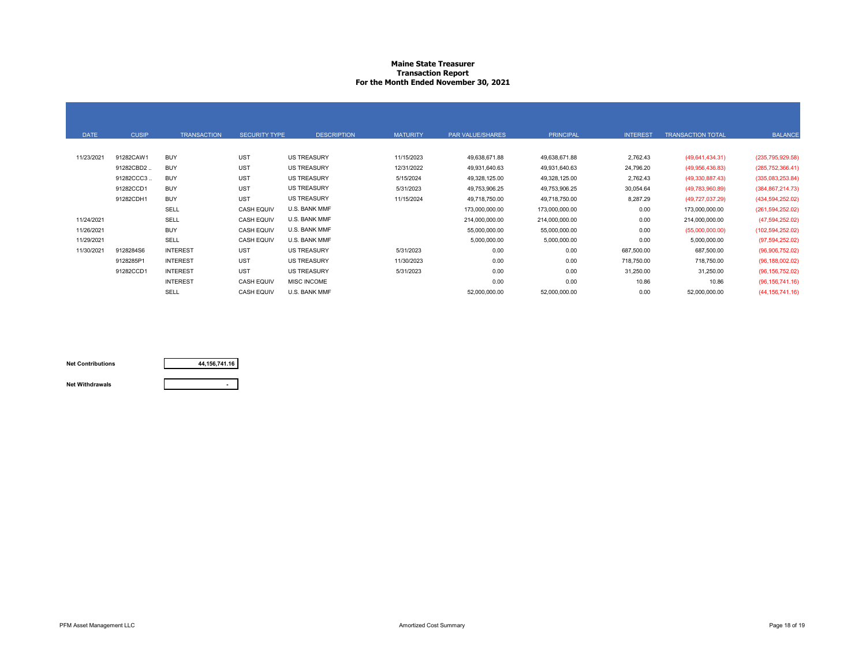### **Maine State Treasurer Transaction Report For the Month Ended November 30, 2021**

| <b>DATE</b> | <b>CUSIP</b> | <b>TRANSACTION</b> | <b>SECURITY TYPE</b> | <b>DESCRIPTION</b> | <b>MATURITY</b> | PAR VALUE/SHARES | <b>PRINCIPAL</b> | <b>INTEREST</b> | <b>TRANSACTION TOTAL</b> | <b>BALANCE</b>     |
|-------------|--------------|--------------------|----------------------|--------------------|-----------------|------------------|------------------|-----------------|--------------------------|--------------------|
|             |              |                    |                      |                    |                 |                  |                  |                 |                          |                    |
| 11/23/2021  | 91282CAW1    | <b>BUY</b>         | <b>UST</b>           | <b>US TREASURY</b> | 11/15/2023      | 49,638,671.88    | 49,638,671.88    | 2,762.43        | (49,641,434.31)          | (235, 795, 929.58) |
|             | 91282CBD2    | <b>BUY</b>         | <b>UST</b>           | US TREASURY        | 12/31/2022      | 49,931,640.63    | 49,931,640.63    | 24,796.20       | (49,956,436.83)          | (285, 752, 366.41) |
|             | 91282CCC3    | <b>BUY</b>         | <b>UST</b>           | <b>US TREASURY</b> | 5/15/2024       | 49,328,125.00    | 49,328,125.00    | 2,762.43        | (49,330,887.43)          | (335,083,253.84)   |
|             | 91282CCD1    | <b>BUY</b>         | <b>UST</b>           | <b>US TREASURY</b> | 5/31/2023       | 49,753,906.25    | 49,753,906.25    | 30,054.64       | (49,783,960.89)          | (384, 867, 214.73) |
|             | 91282CDH1    | <b>BUY</b>         | <b>UST</b>           | US TREASURY        | 11/15/2024      | 49,718,750.00    | 49,718,750.00    | 8,287.29        | (49,727,037.29)          | (434, 594, 252.02) |
|             |              | <b>SELL</b>        | <b>CASH EQUIV</b>    | U.S. BANK MMF      |                 | 173,000,000.00   | 173,000,000.00   | 0.00            | 173,000,000.00           | (261, 594, 252.02) |
| 11/24/2021  |              | <b>SELL</b>        | <b>CASH EQUIV</b>    | U.S. BANK MMF      |                 | 214,000,000.00   | 214,000,000.00   | 0.00            | 214,000,000.00           | (47, 594, 252.02)  |
| 11/26/2021  |              | <b>BUY</b>         | <b>CASH EQUIV</b>    | U.S. BANK MMF      |                 | 55,000,000.00    | 55,000,000.00    | 0.00            | (55,000,000.00)          | (102, 594, 252.02) |
| 11/29/2021  |              | <b>SELL</b>        | <b>CASH EQUIV</b>    | U.S. BANK MMF      |                 | 5,000,000.00     | 5,000,000.00     | 0.00            | 5,000,000.00             | (97, 594, 252.02)  |
| 11/30/2021  | 9128284S6    | <b>INTEREST</b>    | <b>UST</b>           | US TREASURY        | 5/31/2023       | 0.00             | 0.00             | 687,500.00      | 687,500.00               | (96,906,752.02)    |
|             | 9128285P1    | <b>INTEREST</b>    | <b>UST</b>           | <b>US TREASURY</b> | 11/30/2023      | 0.00             | 0.00             | 718,750.00      | 718,750.00               | (96, 188, 002.02)  |
|             | 91282CCD1    | <b>INTEREST</b>    | <b>UST</b>           | <b>US TREASURY</b> | 5/31/2023       | 0.00             | 0.00             | 31,250.00       | 31,250.00                | (96, 156, 752.02)  |
|             |              | <b>INTEREST</b>    | <b>CASH EQUIV</b>    | MISC INCOME        |                 | 0.00             | 0.00             | 10.86           | 10.86                    | (96, 156, 741.16)  |
|             |              | <b>SELL</b>        | <b>CASH EQUIV</b>    | U.S. BANK MMF      |                 | 52,000,000.00    | 52,000,000.00    | 0.00            | 52,000,000.00            | (44, 156, 741.16)  |



**Net Contributions**

**Net Withdrawals**

| <b>PRINCIPAL</b> | <b>INTEREST</b> | <b>TRANSACTION TOTAL</b> | <b>BALANCE</b>     |
|------------------|-----------------|--------------------------|--------------------|
|                  |                 |                          |                    |
| 49,638,671.88    | 2,762.43        | (49,641,434.31)          | (235, 795, 929.58) |
| 49,931,640.63    | 24,796.20       | (49,956,436.83)          | (285, 752, 366.41) |
| 49,328,125.00    | 2,762.43        | (49, 330, 887.43)        | (335,083,253.84)   |
| 49,753,906.25    | 30,054.64       | (49,783,960.89)          | (384, 867, 214.73) |
| 49,718,750.00    | 8,287.29        | (49, 727, 037.29)        | (434, 594, 252.02) |
| 173,000,000.00   | 0.00            | 173,000,000.00           | (261, 594, 252.02) |
| 214,000,000.00   | 0.00            | 214,000,000.00           | (47,594,252.02)    |
| 55,000,000.00    | 0.00            | (55,000,000.00)          | (102, 594, 252.02) |
| 5,000,000.00     | 0.00            | 5,000,000.00             | (97, 594, 252.02)  |
| 0.00             | 687,500.00      | 687,500.00               | (96,906,752.02)    |
| 0.00             | 718,750.00      | 718,750.00               | (96, 188, 002.02)  |
| 0.00             | 31,250.00       | 31,250.00                | (96, 156, 752.02)  |
| 0.00             | 10.86           | 10.86                    | (96, 156, 741.16)  |
| 52,000,000.00    | 0.00            | 52,000,000.00            | (44, 156, 741.16)  |